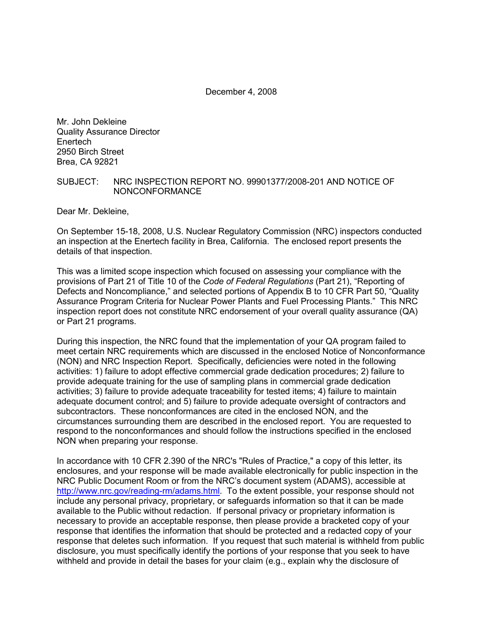December 4, 2008

Mr. John Dekleine Quality Assurance Director Enertech 2950 Birch Street Brea, CA 92821

#### SUBJECT: NRC INSPECTION REPORT NO. 99901377/2008-201 AND NOTICE OF NONCONFORMANCE

Dear Mr. Dekleine,

On September 15-18, 2008, U.S. Nuclear Regulatory Commission (NRC) inspectors conducted an inspection at the Enertech facility in Brea, California. The enclosed report presents the details of that inspection.

This was a limited scope inspection which focused on assessing your compliance with the provisions of Part 21 of Title 10 of the *Code of Federal Regulations* (Part 21), "Reporting of Defects and Noncompliance," and selected portions of Appendix B to 10 CFR Part 50, "Quality Assurance Program Criteria for Nuclear Power Plants and Fuel Processing Plants." This NRC inspection report does not constitute NRC endorsement of your overall quality assurance (QA) or Part 21 programs.

During this inspection, the NRC found that the implementation of your QA program failed to meet certain NRC requirements which are discussed in the enclosed Notice of Nonconformance (NON) and NRC Inspection Report. Specifically, deficiencies were noted in the following activities: 1) failure to adopt effective commercial grade dedication procedures; 2) failure to provide adequate training for the use of sampling plans in commercial grade dedication activities; 3) failure to provide adequate traceability for tested items; 4) failure to maintain adequate document control; and 5) failure to provide adequate oversight of contractors and subcontractors. These nonconformances are cited in the enclosed NON, and the circumstances surrounding them are described in the enclosed report. You are requested to respond to the nonconformances and should follow the instructions specified in the enclosed NON when preparing your response.

In accordance with 10 CFR 2.390 of the NRC's "Rules of Practice," a copy of this letter, its enclosures, and your response will be made available electronically for public inspection in the NRC Public Document Room or from the NRC's document system (ADAMS), accessible at http://www.nrc.gov/reading-rm/adams.html. To the extent possible, your response should not include any personal privacy, proprietary, or safeguards information so that it can be made available to the Public without redaction. If personal privacy or proprietary information is necessary to provide an acceptable response, then please provide a bracketed copy of your response that identifies the information that should be protected and a redacted copy of your response that deletes such information. If you request that such material is withheld from public disclosure, you must specifically identify the portions of your response that you seek to have withheld and provide in detail the bases for your claim (e.g., explain why the disclosure of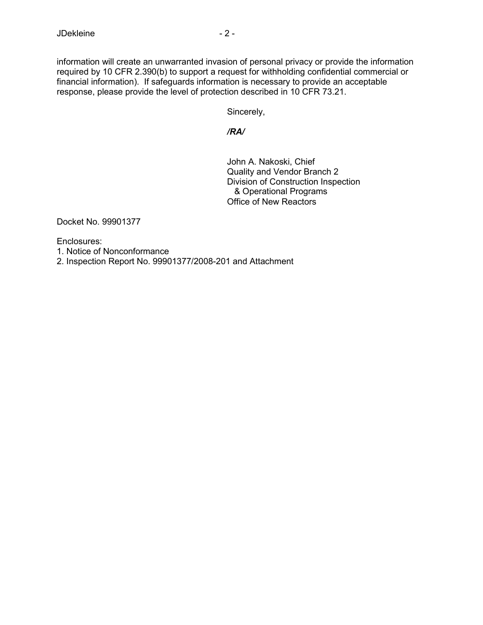information will create an unwarranted invasion of personal privacy or provide the information required by 10 CFR 2.390(b) to support a request for withholding confidential commercial or financial information). If safeguards information is necessary to provide an acceptable response, please provide the level of protection described in 10 CFR 73.21.

Sincerely,

*/RA/* 

 John A. Nakoski, Chief Quality and Vendor Branch 2 Division of Construction Inspection & Operational Programs Office of New Reactors

Docket No. 99901377

Enclosures:

1. Notice of Nonconformance

2. Inspection Report No. 99901377/2008-201 and Attachment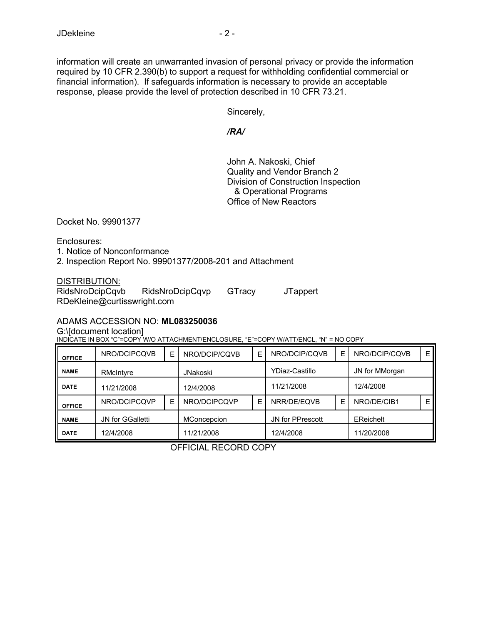information will create an unwarranted invasion of personal privacy or provide the information required by 10 CFR 2.390(b) to support a request for withholding confidential commercial or financial information). If safeguards information is necessary to provide an acceptable response, please provide the level of protection described in 10 CFR 73.21.

Sincerely,

#### */RA/*

 John A. Nakoski, Chief Quality and Vendor Branch 2 Division of Construction Inspection & Operational Programs Office of New Reactors

Docket No. 99901377

Enclosures:

1. Notice of Nonconformance

2. Inspection Report No. 99901377/2008-201 and Attachment

DISTRIBUTION:<br>RidsNroDcipCqvb RidsNroDcipCqvb RidsNroDcipCqvp GTracy JTappert RDeKleine@curtisswright.com

### ADAMS ACCESSION NO: **ML083250036**

G:\[document location]

INDICATE IN BOX "C"=COPY W/O ATTACHMENT/ENCLOSURE, "E"=COPY W/ATT/ENCL, "N" = NO COPY

| <b>OFFICE</b> | NRO/DCIPCQVB            | E | NRO/DCIP/CQVB      | E | NRO/DCIP/CQVB    | E | NRO/DCIP/CQVB  | Е |
|---------------|-------------------------|---|--------------------|---|------------------|---|----------------|---|
| <b>NAME</b>   | RMcIntyre               |   | <b>JNakoski</b>    |   | YDiaz-Castillo   |   | JN for MMorgan |   |
| <b>DATE</b>   | 11/21/2008              |   | 12/4/2008          |   | 11/21/2008       |   | 12/4/2008      |   |
| <b>OFFICE</b> | NRO/DCIPCQVP            | F | NRO/DCIPCQVP       | E | NRR/DE/EQVB      | E | NRO/DE/CIB1    | E |
| <b>NAME</b>   | <b>JN for GGalletti</b> |   | <b>MConcepcion</b> |   | JN for PPrescott |   | EReichelt      |   |
| <b>DATE</b>   | 12/4/2008               |   | 11/21/2008         |   | 12/4/2008        |   | 11/20/2008     |   |

OFFICIAL RECORD COPY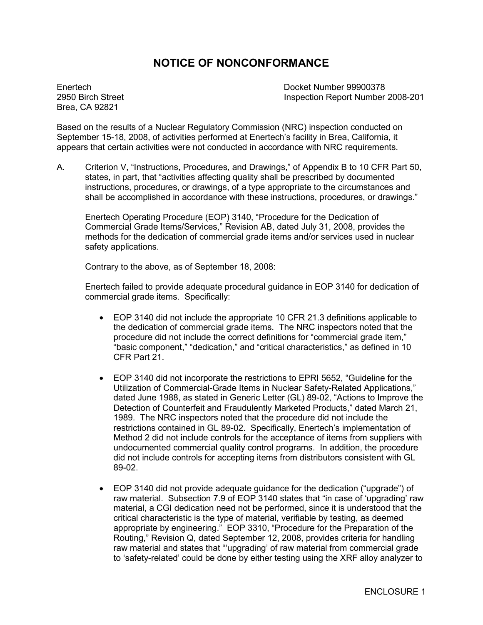# **NOTICE OF NONCONFORMANCE**

Brea, CA 92821

Enertech Docket Number 99900378 2950 Birch Street Inspection Report Number 2008-201

Based on the results of a Nuclear Regulatory Commission (NRC) inspection conducted on September 15-18, 2008, of activities performed at Enertech's facility in Brea, California, it appears that certain activities were not conducted in accordance with NRC requirements.

A. Criterion V, "Instructions, Procedures, and Drawings," of Appendix B to 10 CFR Part 50, states, in part, that "activities affecting quality shall be prescribed by documented instructions, procedures, or drawings, of a type appropriate to the circumstances and shall be accomplished in accordance with these instructions, procedures, or drawings."

Enertech Operating Procedure (EOP) 3140, "Procedure for the Dedication of Commercial Grade Items/Services," Revision AB, dated July 31, 2008, provides the methods for the dedication of commercial grade items and/or services used in nuclear safety applications.

Contrary to the above, as of September 18, 2008:

Enertech failed to provide adequate procedural guidance in EOP 3140 for dedication of commercial grade items. Specifically:

- EOP 3140 did not include the appropriate 10 CFR 21.3 definitions applicable to the dedication of commercial grade items. The NRC inspectors noted that the procedure did not include the correct definitions for "commercial grade item," "basic component," "dedication," and "critical characteristics," as defined in 10 CFR Part 21.
- EOP 3140 did not incorporate the restrictions to EPRI 5652, "Guideline for the Utilization of Commercial-Grade Items in Nuclear Safety-Related Applications," dated June 1988, as stated in Generic Letter (GL) 89-02, "Actions to Improve the Detection of Counterfeit and Fraudulently Marketed Products," dated March 21, 1989. The NRC inspectors noted that the procedure did not include the restrictions contained in GL 89-02. Specifically, Enertech's implementation of Method 2 did not include controls for the acceptance of items from suppliers with undocumented commercial quality control programs. In addition, the procedure did not include controls for accepting items from distributors consistent with GL 89-02.
- EOP 3140 did not provide adequate guidance for the dedication ("upgrade") of raw material. Subsection 7.9 of EOP 3140 states that "in case of 'upgrading' raw material, a CGI dedication need not be performed, since it is understood that the critical characteristic is the type of material, verifiable by testing, as deemed appropriate by engineering." EOP 3310, "Procedure for the Preparation of the Routing," Revision Q, dated September 12, 2008, provides criteria for handling raw material and states that "'upgrading' of raw material from commercial grade to 'safety-related' could be done by either testing using the XRF alloy analyzer to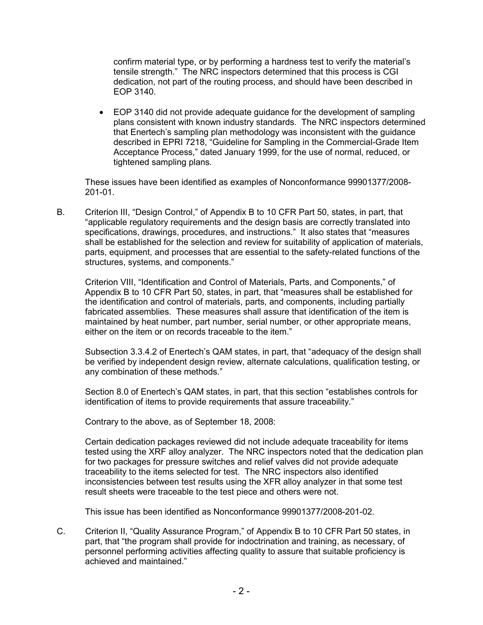confirm material type, or by performing a hardness test to verify the material's tensile strength." The NRC inspectors determined that this process is CGI dedication, not part of the routing process, and should have been described in EOP 3140.

• EOP 3140 did not provide adequate guidance for the development of sampling plans consistent with known industry standards. The NRC inspectors determined that Enertech's sampling plan methodology was inconsistent with the guidance described in EPRI 7218, "Guideline for Sampling in the Commercial-Grade Item Acceptance Process," dated January 1999, for the use of normal, reduced, or tightened sampling plans.

These issues have been identified as examples of Nonconformance 99901377/2008- 201-01.

B. Criterion III, "Design Control," of Appendix B to 10 CFR Part 50, states, in part, that "applicable regulatory requirements and the design basis are correctly translated into specifications, drawings, procedures, and instructions." It also states that "measures shall be established for the selection and review for suitability of application of materials, parts, equipment, and processes that are essential to the safety-related functions of the structures, systems, and components."

Criterion VIII, "Identification and Control of Materials, Parts, and Components," of Appendix B to 10 CFR Part 50, states, in part, that "measures shall be established for the identification and control of materials, parts, and components, including partially fabricated assemblies. These measures shall assure that identification of the item is maintained by heat number, part number, serial number, or other appropriate means, either on the item or on records traceable to the item."

Subsection 3.3.4.2 of Enertech's QAM states, in part, that "adequacy of the design shall be verified by independent design review, alternate calculations, qualification testing, or any combination of these methods."

Section 8.0 of Enertech's QAM states, in part, that this section "establishes controls for identification of items to provide requirements that assure traceability."

Contrary to the above, as of September 18, 2008:

Certain dedication packages reviewed did not include adequate traceability for items tested using the XRF alloy analyzer. The NRC inspectors noted that the dedication plan for two packages for pressure switches and relief valves did not provide adequate traceability to the items selected for test. The NRC inspectors also identified inconsistencies between test results using the XFR alloy analyzer in that some test result sheets were traceable to the test piece and others were not.

This issue has been identified as Nonconformance 99901377/2008-201-02.

C. Criterion II, "Quality Assurance Program," of Appendix B to 10 CFR Part 50 states, in part, that "the program shall provide for indoctrination and training, as necessary, of personnel performing activities affecting quality to assure that suitable proficiency is achieved and maintained."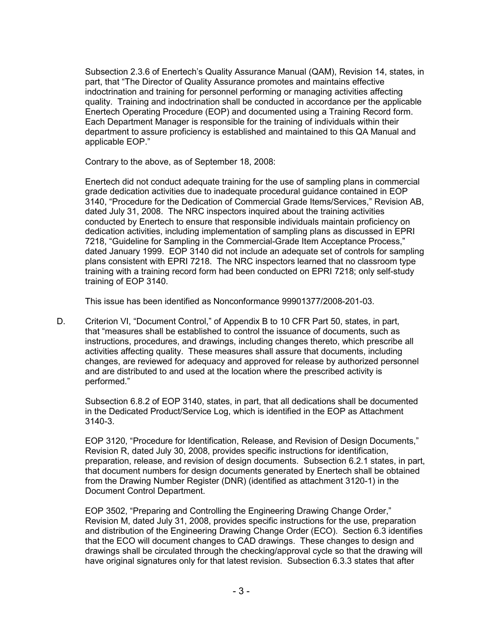Subsection 2.3.6 of Enertech's Quality Assurance Manual (QAM), Revision 14, states, in part, that "The Director of Quality Assurance promotes and maintains effective indoctrination and training for personnel performing or managing activities affecting quality. Training and indoctrination shall be conducted in accordance per the applicable Enertech Operating Procedure (EOP) and documented using a Training Record form. Each Department Manager is responsible for the training of individuals within their department to assure proficiency is established and maintained to this QA Manual and applicable EOP."

Contrary to the above, as of September 18, 2008:

Enertech did not conduct adequate training for the use of sampling plans in commercial grade dedication activities due to inadequate procedural guidance contained in EOP 3140, "Procedure for the Dedication of Commercial Grade Items/Services," Revision AB, dated July 31, 2008. The NRC inspectors inquired about the training activities conducted by Enertech to ensure that responsible individuals maintain proficiency on dedication activities, including implementation of sampling plans as discussed in EPRI 7218, "Guideline for Sampling in the Commercial-Grade Item Acceptance Process," dated January 1999. EOP 3140 did not include an adequate set of controls for sampling plans consistent with EPRI 7218. The NRC inspectors learned that no classroom type training with a training record form had been conducted on EPRI 7218; only self-study training of EOP 3140.

This issue has been identified as Nonconformance 99901377/2008-201-03.

D. Criterion VI, "Document Control," of Appendix B to 10 CFR Part 50, states, in part, that "measures shall be established to control the issuance of documents, such as instructions, procedures, and drawings, including changes thereto, which prescribe all activities affecting quality. These measures shall assure that documents, including changes, are reviewed for adequacy and approved for release by authorized personnel and are distributed to and used at the location where the prescribed activity is performed."

Subsection 6.8.2 of EOP 3140, states, in part, that all dedications shall be documented in the Dedicated Product/Service Log, which is identified in the EOP as Attachment 3140-3.

EOP 3120, "Procedure for Identification, Release, and Revision of Design Documents," Revision R, dated July 30, 2008, provides specific instructions for identification, preparation, release, and revision of design documents. Subsection 6.2.1 states, in part, that document numbers for design documents generated by Enertech shall be obtained from the Drawing Number Register (DNR) (identified as attachment 3120-1) in the Document Control Department.

EOP 3502, "Preparing and Controlling the Engineering Drawing Change Order," Revision M, dated July 31, 2008, provides specific instructions for the use, preparation and distribution of the Engineering Drawing Change Order (ECO). Section 6.3 identifies that the ECO will document changes to CAD drawings. These changes to design and drawings shall be circulated through the checking/approval cycle so that the drawing will have original signatures only for that latest revision. Subsection 6.3.3 states that after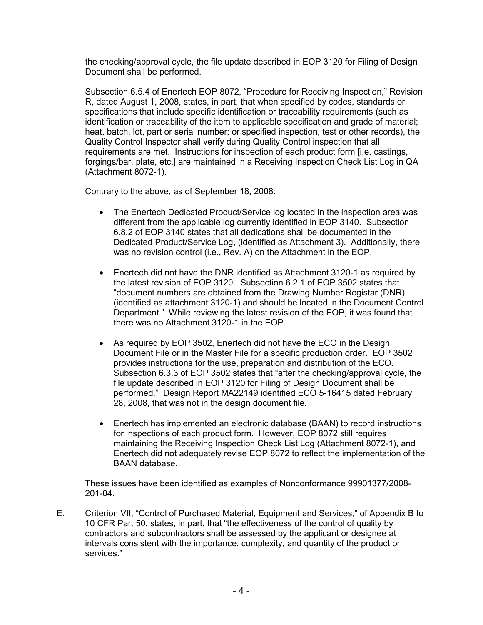the checking/approval cycle, the file update described in EOP 3120 for Filing of Design Document shall be performed.

Subsection 6.5.4 of Enertech EOP 8072, "Procedure for Receiving Inspection," Revision R, dated August 1, 2008, states, in part, that when specified by codes, standards or specifications that include specific identification or traceability requirements (such as identification or traceability of the item to applicable specification and grade of material; heat, batch, lot, part or serial number; or specified inspection, test or other records), the Quality Control Inspector shall verify during Quality Control inspection that all requirements are met. Instructions for inspection of each product form [i.e. castings, forgings/bar, plate, etc.] are maintained in a Receiving Inspection Check List Log in QA (Attachment 8072-1).

Contrary to the above, as of September 18, 2008:

- The Enertech Dedicated Product/Service log located in the inspection area was different from the applicable log currently identified in EOP 3140. Subsection 6.8.2 of EOP 3140 states that all dedications shall be documented in the Dedicated Product/Service Log, (identified as Attachment 3). Additionally, there was no revision control (i.e., Rev. A) on the Attachment in the EOP.
- Enertech did not have the DNR identified as Attachment 3120-1 as required by the latest revision of EOP 3120. Subsection 6.2.1 of EOP 3502 states that "document numbers are obtained from the Drawing Number Registar (DNR) (identified as attachment 3120-1) and should be located in the Document Control Department." While reviewing the latest revision of the EOP, it was found that there was no Attachment 3120-1 in the EOP.
- As required by EOP 3502, Enertech did not have the ECO in the Design Document File or in the Master File for a specific production order. EOP 3502 provides instructions for the use, preparation and distribution of the ECO. Subsection 6.3.3 of EOP 3502 states that "after the checking/approval cycle, the file update described in EOP 3120 for Filing of Design Document shall be performed." Design Report MA22149 identified ECO 5-16415 dated February 28, 2008, that was not in the design document file.
- Enertech has implemented an electronic database (BAAN) to record instructions for inspections of each product form. However, EOP 8072 still requires maintaining the Receiving Inspection Check List Log (Attachment 8072-1), and Enertech did not adequately revise EOP 8072 to reflect the implementation of the BAAN database.

 These issues have been identified as examples of Nonconformance 99901377/2008- 201-04.

E. Criterion VII, "Control of Purchased Material, Equipment and Services," of Appendix B to 10 CFR Part 50, states, in part, that "the effectiveness of the control of quality by contractors and subcontractors shall be assessed by the applicant or designee at intervals consistent with the importance, complexity, and quantity of the product or services."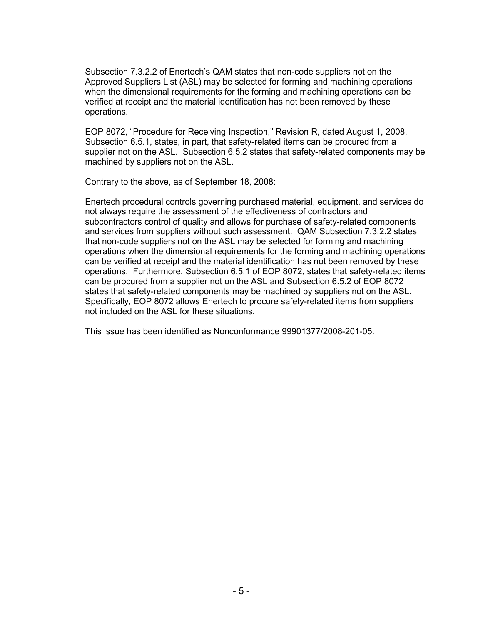Subsection 7.3.2.2 of Enertech's QAM states that non-code suppliers not on the Approved Suppliers List (ASL) may be selected for forming and machining operations when the dimensional requirements for the forming and machining operations can be verified at receipt and the material identification has not been removed by these operations.

 EOP 8072, "Procedure for Receiving Inspection," Revision R, dated August 1, 2008, Subsection 6.5.1, states, in part, that safety-related items can be procured from a supplier not on the ASL. Subsection 6.5.2 states that safety-related components may be machined by suppliers not on the ASL.

Contrary to the above, as of September 18, 2008:

Enertech procedural controls governing purchased material, equipment, and services do not always require the assessment of the effectiveness of contractors and subcontractors control of quality and allows for purchase of safety-related components and services from suppliers without such assessment. QAM Subsection 7.3.2.2 states that non-code suppliers not on the ASL may be selected for forming and machining operations when the dimensional requirements for the forming and machining operations can be verified at receipt and the material identification has not been removed by these operations. Furthermore, Subsection 6.5.1 of EOP 8072, states that safety-related items can be procured from a supplier not on the ASL and Subsection 6.5.2 of EOP 8072 states that safety-related components may be machined by suppliers not on the ASL. Specifically, EOP 8072 allows Enertech to procure safety-related items from suppliers not included on the ASL for these situations.

This issue has been identified as Nonconformance 99901377/2008-201-05.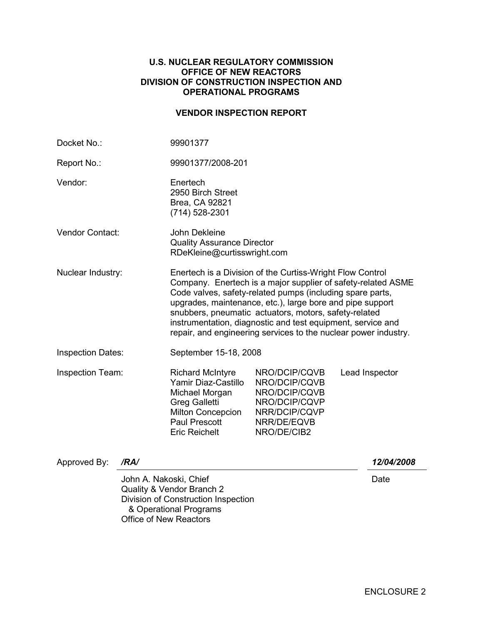#### **U.S. NUCLEAR REGULATORY COMMISSION OFFICE OF NEW REACTORS DIVISION OF CONSTRUCTION INSPECTION AND OPERATIONAL PROGRAMS**

## **VENDOR INSPECTION REPORT**

| Docket No.:              |                                                         | 99901377                                                                                                                                                                                                                                                                                                                                                                                                                                       |                                                                                                                 |                |  |  |
|--------------------------|---------------------------------------------------------|------------------------------------------------------------------------------------------------------------------------------------------------------------------------------------------------------------------------------------------------------------------------------------------------------------------------------------------------------------------------------------------------------------------------------------------------|-----------------------------------------------------------------------------------------------------------------|----------------|--|--|
| Report No.:              |                                                         | 99901377/2008-201                                                                                                                                                                                                                                                                                                                                                                                                                              |                                                                                                                 |                |  |  |
| Vendor:                  |                                                         | Enertech<br>2950 Birch Street<br>Brea, CA 92821<br>(714) 528-2301                                                                                                                                                                                                                                                                                                                                                                              |                                                                                                                 |                |  |  |
| Vendor Contact:          |                                                         | John Dekleine<br><b>Quality Assurance Director</b><br>RDeKleine@curtisswright.com                                                                                                                                                                                                                                                                                                                                                              |                                                                                                                 |                |  |  |
| Nuclear Industry:        |                                                         | Enertech is a Division of the Curtiss-Wright Flow Control<br>Company. Enertech is a major supplier of safety-related ASME<br>Code valves, safety-related pumps (including spare parts,<br>upgrades, maintenance, etc.), large bore and pipe support<br>snubbers, pneumatic actuators, motors, safety-related<br>instrumentation, diagnostic and test equipment, service and<br>repair, and engineering services to the nuclear power industry. |                                                                                                                 |                |  |  |
| <b>Inspection Dates:</b> |                                                         | September 15-18, 2008                                                                                                                                                                                                                                                                                                                                                                                                                          |                                                                                                                 |                |  |  |
| Inspection Team:         |                                                         | <b>Richard McIntyre</b><br>Yamir Diaz-Castillo<br>Michael Morgan<br><b>Greg Galletti</b><br>Milton Concepcion<br>Paul Prescott<br><b>Eric Reichelt</b>                                                                                                                                                                                                                                                                                         | NRO/DCIP/CQVB<br>NRO/DCIP/CQVB<br>NRO/DCIP/CQVB<br>NRO/DCIP/CQVP<br>NRR/DCIP/CQVP<br>NRR/DE/EQVB<br>NRO/DE/CIB2 | Lead Inspector |  |  |
| Approved By:             | /RA/                                                    |                                                                                                                                                                                                                                                                                                                                                                                                                                                |                                                                                                                 | 12/04/2008     |  |  |
|                          | John A. Nakoski, Chief<br><b>Office of New Reactors</b> | Quality & Vendor Branch 2<br>Division of Construction Inspection<br>& Operational Programs                                                                                                                                                                                                                                                                                                                                                     |                                                                                                                 | Date           |  |  |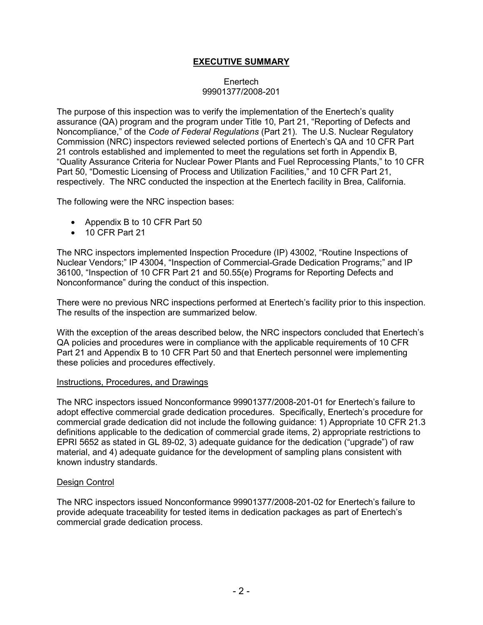# **EXECUTIVE SUMMARY**

### Enertech 99901377/2008-201

The purpose of this inspection was to verify the implementation of the Enertech's quality assurance (QA) program and the program under Title 10, Part 21, "Reporting of Defects and Noncompliance," of the *Code of Federal Regulations* (Part 21). The U.S. Nuclear Regulatory Commission (NRC) inspectors reviewed selected portions of Enertech's QA and 10 CFR Part 21 controls established and implemented to meet the regulations set forth in Appendix B, "Quality Assurance Criteria for Nuclear Power Plants and Fuel Reprocessing Plants," to 10 CFR Part 50, "Domestic Licensing of Process and Utilization Facilities," and 10 CFR Part 21, respectively. The NRC conducted the inspection at the Enertech facility in Brea, California.

The following were the NRC inspection bases:

- Appendix B to 10 CFR Part 50
- 10 CFR Part 21

The NRC inspectors implemented Inspection Procedure (IP) 43002, "Routine Inspections of Nuclear Vendors;" IP 43004, "Inspection of Commercial-Grade Dedication Programs;" and IP 36100, "Inspection of 10 CFR Part 21 and 50.55(e) Programs for Reporting Defects and Nonconformance" during the conduct of this inspection.

There were no previous NRC inspections performed at Enertech's facility prior to this inspection. The results of the inspection are summarized below.

With the exception of the areas described below, the NRC inspectors concluded that Enertech's QA policies and procedures were in compliance with the applicable requirements of 10 CFR Part 21 and Appendix B to 10 CFR Part 50 and that Enertech personnel were implementing these policies and procedures effectively.

#### Instructions, Procedures, and Drawings

The NRC inspectors issued Nonconformance 99901377/2008-201-01 for Enertech's failure to adopt effective commercial grade dedication procedures. Specifically, Enertech's procedure for commercial grade dedication did not include the following guidance: 1) Appropriate 10 CFR 21.3 definitions applicable to the dedication of commercial grade items, 2) appropriate restrictions to EPRI 5652 as stated in GL 89-02, 3) adequate guidance for the dedication ("upgrade") of raw material, and 4) adequate guidance for the development of sampling plans consistent with known industry standards.

#### Design Control

The NRC inspectors issued Nonconformance 99901377/2008-201-02 for Enertech's failure to provide adequate traceability for tested items in dedication packages as part of Enertech's commercial grade dedication process.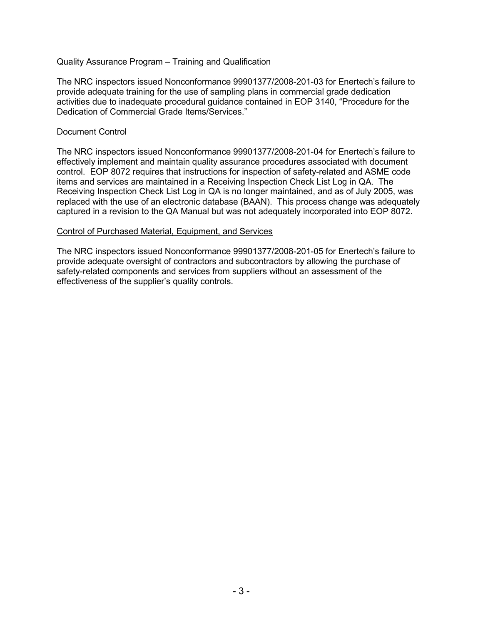### Quality Assurance Program – Training and Qualification

The NRC inspectors issued Nonconformance 99901377/2008-201-03 for Enertech's failure to provide adequate training for the use of sampling plans in commercial grade dedication activities due to inadequate procedural guidance contained in EOP 3140, "Procedure for the Dedication of Commercial Grade Items/Services."

#### Document Control

The NRC inspectors issued Nonconformance 99901377/2008-201-04 for Enertech's failure to effectively implement and maintain quality assurance procedures associated with document control. EOP 8072 requires that instructions for inspection of safety-related and ASME code items and services are maintained in a Receiving Inspection Check List Log in QA. The Receiving Inspection Check List Log in QA is no longer maintained, and as of July 2005, was replaced with the use of an electronic database (BAAN). This process change was adequately captured in a revision to the QA Manual but was not adequately incorporated into EOP 8072.

#### Control of Purchased Material, Equipment, and Services

The NRC inspectors issued Nonconformance 99901377/2008-201-05 for Enertech's failure to provide adequate oversight of contractors and subcontractors by allowing the purchase of safety-related components and services from suppliers without an assessment of the effectiveness of the supplier's quality controls.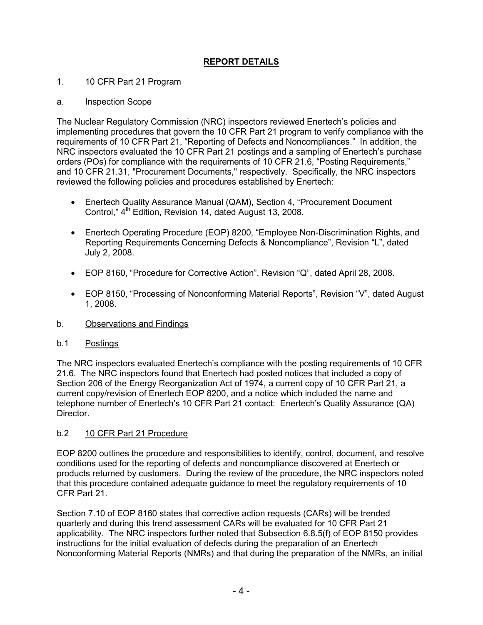# **REPORT DETAILS**

## 1. 10 CFR Part 21 Program

### a. Inspection Scope

The Nuclear Regulatory Commission (NRC) inspectors reviewed Enertech's policies and implementing procedures that govern the 10 CFR Part 21 program to verify compliance with the requirements of 10 CFR Part 21, "Reporting of Defects and Noncompliances." In addition, the NRC inspectors evaluated the 10 CFR Part 21 postings and a sampling of Enertech's purchase orders (POs) for compliance with the requirements of 10 CFR 21.6, "Posting Requirements," and 10 CFR 21.31, "Procurement Documents," respectively. Specifically, the NRC inspectors reviewed the following policies and procedures established by Enertech:

- Enertech Quality Assurance Manual (QAM), Section 4, "Procurement Document Control,"  $4<sup>th</sup>$  Edition, Revision 14, dated August 13, 2008.
- Enertech Operating Procedure (EOP) 8200, "Employee Non-Discrimination Rights, and Reporting Requirements Concerning Defects & Noncompliance", Revision "L", dated July 2, 2008.
- EOP 8160, "Procedure for Corrective Action", Revision "Q", dated April 28, 2008.
- EOP 8150, "Processing of Nonconforming Material Reports", Revision "V", dated August 1, 2008.
- b. Observations and Findings

### b.1 Postings

The NRC inspectors evaluated Enertech's compliance with the posting requirements of 10 CFR 21.6. The NRC inspectors found that Enertech had posted notices that included a copy of Section 206 of the Energy Reorganization Act of 1974, a current copy of 10 CFR Part 21, a current copy/revision of Enertech EOP 8200, and a notice which included the name and telephone number of Enertech's 10 CFR Part 21 contact: Enertech's Quality Assurance (QA) Director.

# b.2 10 CFR Part 21 Procedure

EOP 8200 outlines the procedure and responsibilities to identify, control, document, and resolve conditions used for the reporting of defects and noncompliance discovered at Enertech or products returned by customers. During the review of the procedure, the NRC inspectors noted that this procedure contained adequate guidance to meet the regulatory requirements of 10 CFR Part 21.

Section 7.10 of EOP 8160 states that corrective action requests (CARs) will be trended quarterly and during this trend assessment CARs will be evaluated for 10 CFR Part 21 applicability. The NRC inspectors further noted that Subsection 6.8.5(f) of EOP 8150 provides instructions for the initial evaluation of defects during the preparation of an Enertech Nonconforming Material Reports (NMRs) and that during the preparation of the NMRs, an initial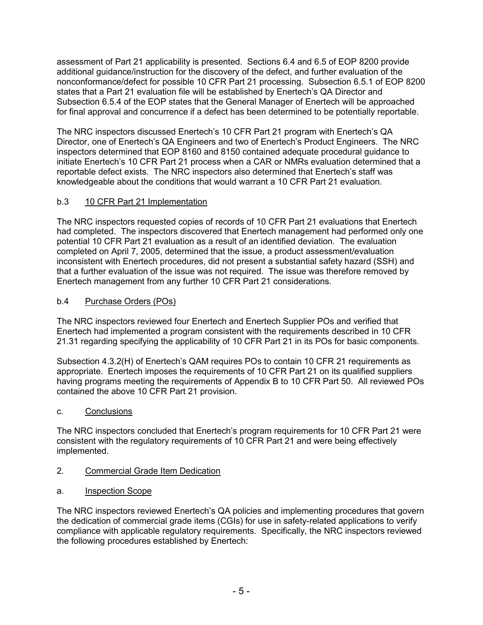assessment of Part 21 applicability is presented. Sections 6.4 and 6.5 of EOP 8200 provide additional guidance/instruction for the discovery of the defect, and further evaluation of the nonconformance/defect for possible 10 CFR Part 21 processing. Subsection 6.5.1 of EOP 8200 states that a Part 21 evaluation file will be established by Enertech's QA Director and Subsection 6.5.4 of the EOP states that the General Manager of Enertech will be approached for final approval and concurrence if a defect has been determined to be potentially reportable.

The NRC inspectors discussed Enertech's 10 CFR Part 21 program with Enertech's QA Director, one of Enertech's QA Engineers and two of Enertech's Product Engineers. The NRC inspectors determined that EOP 8160 and 8150 contained adequate procedural guidance to initiate Enertech's 10 CFR Part 21 process when a CAR or NMRs evaluation determined that a reportable defect exists. The NRC inspectors also determined that Enertech's staff was knowledgeable about the conditions that would warrant a 10 CFR Part 21 evaluation.

# b.3 10 CFR Part 21 Implementation

The NRC inspectors requested copies of records of 10 CFR Part 21 evaluations that Enertech had completed. The inspectors discovered that Enertech management had performed only one potential 10 CFR Part 21 evaluation as a result of an identified deviation. The evaluation completed on April 7, 2005, determined that the issue, a product assessment/evaluation inconsistent with Enertech procedures, did not present a substantial safety hazard (SSH) and that a further evaluation of the issue was not required. The issue was therefore removed by Enertech management from any further 10 CFR Part 21 considerations.

# b.4 Purchase Orders (POs)

The NRC inspectors reviewed four Enertech and Enertech Supplier POs and verified that Enertech had implemented a program consistent with the requirements described in 10 CFR 21.31 regarding specifying the applicability of 10 CFR Part 21 in its POs for basic components.

Subsection 4.3.2(H) of Enertech's QAM requires POs to contain 10 CFR 21 requirements as appropriate. Enertech imposes the requirements of 10 CFR Part 21 on its qualified suppliers having programs meeting the requirements of Appendix B to 10 CFR Part 50. All reviewed POs contained the above 10 CFR Part 21 provision.

# c. Conclusions

The NRC inspectors concluded that Enertech's program requirements for 10 CFR Part 21 were consistent with the regulatory requirements of 10 CFR Part 21 and were being effectively implemented.

# 2. Commercial Grade Item Dedication

a. Inspection Scope

The NRC inspectors reviewed Enertech's QA policies and implementing procedures that govern the dedication of commercial grade items (CGIs) for use in safety-related applications to verify compliance with applicable regulatory requirements. Specifically, the NRC inspectors reviewed the following procedures established by Enertech: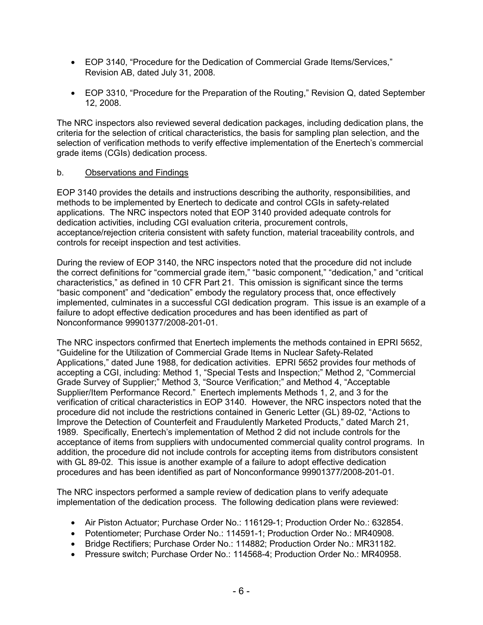- EOP 3140, "Procedure for the Dedication of Commercial Grade Items/Services," Revision AB, dated July 31, 2008.
- EOP 3310, "Procedure for the Preparation of the Routing," Revision Q, dated September 12, 2008.

The NRC inspectors also reviewed several dedication packages, including dedication plans, the criteria for the selection of critical characteristics, the basis for sampling plan selection, and the selection of verification methods to verify effective implementation of the Enertech's commercial grade items (CGIs) dedication process.

### b. Observations and Findings

EOP 3140 provides the details and instructions describing the authority, responsibilities, and methods to be implemented by Enertech to dedicate and control CGIs in safety-related applications. The NRC inspectors noted that EOP 3140 provided adequate controls for dedication activities, including CGI evaluation criteria, procurement controls, acceptance/rejection criteria consistent with safety function, material traceability controls, and controls for receipt inspection and test activities.

During the review of EOP 3140, the NRC inspectors noted that the procedure did not include the correct definitions for "commercial grade item," "basic component," "dedication," and "critical characteristics," as defined in 10 CFR Part 21. This omission is significant since the terms "basic component" and "dedication" embody the regulatory process that, once effectively implemented, culminates in a successful CGI dedication program. This issue is an example of a failure to adopt effective dedication procedures and has been identified as part of Nonconformance 99901377/2008-201-01.

The NRC inspectors confirmed that Enertech implements the methods contained in EPRI 5652, "Guideline for the Utilization of Commercial Grade Items in Nuclear Safety-Related Applications," dated June 1988, for dedication activities. EPRI 5652 provides four methods of accepting a CGI, including: Method 1, "Special Tests and Inspection;" Method 2, "Commercial Grade Survey of Supplier;" Method 3, "Source Verification;" and Method 4, "Acceptable Supplier/Item Performance Record." Enertech implements Methods 1, 2, and 3 for the verification of critical characteristics in EOP 3140. However, the NRC inspectors noted that the procedure did not include the restrictions contained in Generic Letter (GL) 89-02, "Actions to Improve the Detection of Counterfeit and Fraudulently Marketed Products," dated March 21, 1989. Specifically, Enertech's implementation of Method 2 did not include controls for the acceptance of items from suppliers with undocumented commercial quality control programs. In addition, the procedure did not include controls for accepting items from distributors consistent with GL 89-02. This issue is another example of a failure to adopt effective dedication procedures and has been identified as part of Nonconformance 99901377/2008-201-01.

The NRC inspectors performed a sample review of dedication plans to verify adequate implementation of the dedication process. The following dedication plans were reviewed:

- Air Piston Actuator; Purchase Order No.: 116129-1; Production Order No.: 632854.
- Potentiometer; Purchase Order No.: 114591-1; Production Order No.: MR40908.
- Bridge Rectifiers: Purchase Order No.: 114882: Production Order No.: MR31182.
- Pressure switch; Purchase Order No.: 114568-4; Production Order No.: MR40958.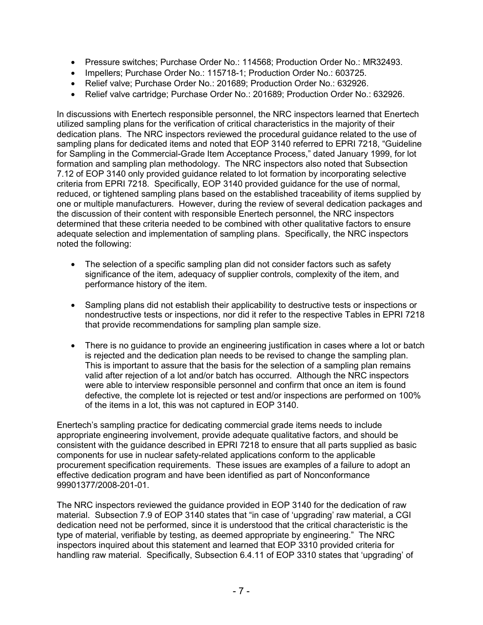- Pressure switches; Purchase Order No.: 114568; Production Order No.: MR32493.
- Impellers; Purchase Order No.: 115718-1; Production Order No.: 603725.
- Relief valve: Purchase Order No.: 201689: Production Order No.: 632926.
- Relief valve cartridge; Purchase Order No.: 201689; Production Order No.: 632926.

In discussions with Enertech responsible personnel, the NRC inspectors learned that Enertech utilized sampling plans for the verification of critical characteristics in the majority of their dedication plans. The NRC inspectors reviewed the procedural guidance related to the use of sampling plans for dedicated items and noted that EOP 3140 referred to EPRI 7218, "Guideline for Sampling in the Commercial-Grade Item Acceptance Process," dated January 1999, for lot formation and sampling plan methodology. The NRC inspectors also noted that Subsection 7.12 of EOP 3140 only provided guidance related to lot formation by incorporating selective criteria from EPRI 7218. Specifically, EOP 3140 provided guidance for the use of normal, reduced, or tightened sampling plans based on the established traceability of items supplied by one or multiple manufacturers. However, during the review of several dedication packages and the discussion of their content with responsible Enertech personnel, the NRC inspectors determined that these criteria needed to be combined with other qualitative factors to ensure adequate selection and implementation of sampling plans. Specifically, the NRC inspectors noted the following:

- The selection of a specific sampling plan did not consider factors such as safety significance of the item, adequacy of supplier controls, complexity of the item, and performance history of the item.
- Sampling plans did not establish their applicability to destructive tests or inspections or nondestructive tests or inspections, nor did it refer to the respective Tables in EPRI 7218 that provide recommendations for sampling plan sample size.
- There is no guidance to provide an engineering justification in cases where a lot or batch is rejected and the dedication plan needs to be revised to change the sampling plan. This is important to assure that the basis for the selection of a sampling plan remains valid after rejection of a lot and/or batch has occurred. Although the NRC inspectors were able to interview responsible personnel and confirm that once an item is found defective, the complete lot is rejected or test and/or inspections are performed on 100% of the items in a lot, this was not captured in EOP 3140.

Enertech's sampling practice for dedicating commercial grade items needs to include appropriate engineering involvement, provide adequate qualitative factors, and should be consistent with the guidance described in EPRI 7218 to ensure that all parts supplied as basic components for use in nuclear safety-related applications conform to the applicable procurement specification requirements. These issues are examples of a failure to adopt an effective dedication program and have been identified as part of Nonconformance 99901377/2008-201-01.

The NRC inspectors reviewed the guidance provided in EOP 3140 for the dedication of raw material. Subsection 7.9 of EOP 3140 states that "in case of 'upgrading' raw material, a CGI dedication need not be performed, since it is understood that the critical characteristic is the type of material, verifiable by testing, as deemed appropriate by engineering." The NRC inspectors inquired about this statement and learned that EOP 3310 provided criteria for handling raw material. Specifically, Subsection 6.4.11 of EOP 3310 states that 'upgrading' of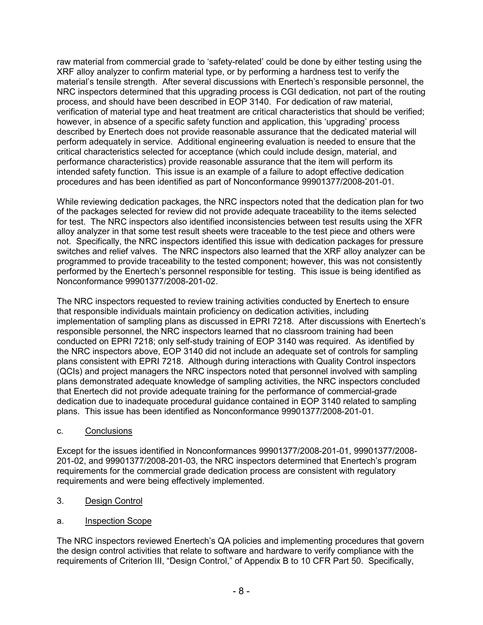raw material from commercial grade to 'safety-related' could be done by either testing using the XRF alloy analyzer to confirm material type, or by performing a hardness test to verify the material's tensile strength. After several discussions with Enertech's responsible personnel, the NRC inspectors determined that this upgrading process is CGI dedication, not part of the routing process, and should have been described in EOP 3140. For dedication of raw material, verification of material type and heat treatment are critical characteristics that should be verified; however, in absence of a specific safety function and application, this 'upgrading' process described by Enertech does not provide reasonable assurance that the dedicated material will perform adequately in service. Additional engineering evaluation is needed to ensure that the critical characteristics selected for acceptance (which could include design, material, and performance characteristics) provide reasonable assurance that the item will perform its intended safety function. This issue is an example of a failure to adopt effective dedication procedures and has been identified as part of Nonconformance 99901377/2008-201-01.

While reviewing dedication packages, the NRC inspectors noted that the dedication plan for two of the packages selected for review did not provide adequate traceability to the items selected for test. The NRC inspectors also identified inconsistencies between test results using the XFR alloy analyzer in that some test result sheets were traceable to the test piece and others were not. Specifically, the NRC inspectors identified this issue with dedication packages for pressure switches and relief valves. The NRC inspectors also learned that the XRF alloy analyzer can be programmed to provide traceability to the tested component; however, this was not consistently performed by the Enertech's personnel responsible for testing. This issue is being identified as Nonconformance 99901377/2008-201-02.

The NRC inspectors requested to review training activities conducted by Enertech to ensure that responsible individuals maintain proficiency on dedication activities, including implementation of sampling plans as discussed in EPRI 7218. After discussions with Enertech's responsible personnel, the NRC inspectors learned that no classroom training had been conducted on EPRI 7218; only self-study training of EOP 3140 was required. As identified by the NRC inspectors above, EOP 3140 did not include an adequate set of controls for sampling plans consistent with EPRI 7218. Although during interactions with Quality Control inspectors (QCIs) and project managers the NRC inspectors noted that personnel involved with sampling plans demonstrated adequate knowledge of sampling activities, the NRC inspectors concluded that Enertech did not provide adequate training for the performance of commercial-grade dedication due to inadequate procedural guidance contained in EOP 3140 related to sampling plans. This issue has been identified as Nonconformance 99901377/2008-201-01.

c. Conclusions

Except for the issues identified in Nonconformances 99901377/2008-201-01, 99901377/2008- 201-02, and 99901377/2008-201-03, the NRC inspectors determined that Enertech's program requirements for the commercial grade dedication process are consistent with regulatory requirements and were being effectively implemented.

- 3. Design Control
- a. Inspection Scope

The NRC inspectors reviewed Enertech's QA policies and implementing procedures that govern the design control activities that relate to software and hardware to verify compliance with the requirements of Criterion III, "Design Control," of Appendix B to 10 CFR Part 50. Specifically,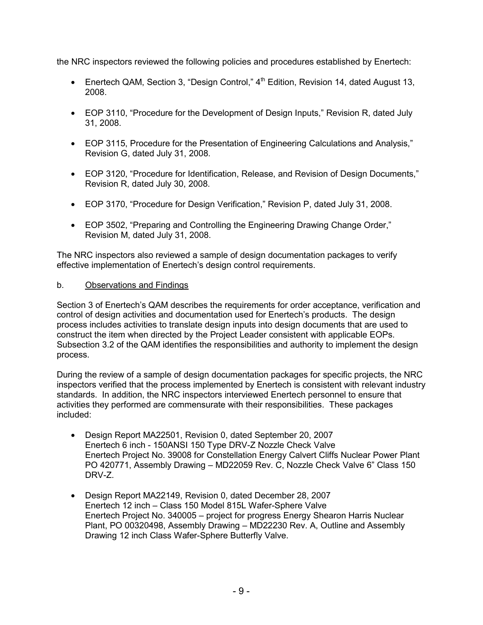the NRC inspectors reviewed the following policies and procedures established by Enertech:

- Enertech QAM, Section 3, "Design Control,"  $4<sup>th</sup>$  Edition, Revision 14, dated August 13, 2008.
- EOP 3110, "Procedure for the Development of Design Inputs," Revision R, dated July 31, 2008.
- EOP 3115, Procedure for the Presentation of Engineering Calculations and Analysis," Revision G, dated July 31, 2008.
- EOP 3120, "Procedure for Identification, Release, and Revision of Design Documents," Revision R, dated July 30, 2008.
- EOP 3170, "Procedure for Design Verification," Revision P, dated July 31, 2008.
- EOP 3502, "Preparing and Controlling the Engineering Drawing Change Order," Revision M, dated July 31, 2008.

The NRC inspectors also reviewed a sample of design documentation packages to verify effective implementation of Enertech's design control requirements.

# b. Observations and Findings

Section 3 of Enertech's QAM describes the requirements for order acceptance, verification and control of design activities and documentation used for Enertech's products. The design process includes activities to translate design inputs into design documents that are used to construct the item when directed by the Project Leader consistent with applicable EOPs. Subsection 3.2 of the QAM identifies the responsibilities and authority to implement the design process.

During the review of a sample of design documentation packages for specific projects, the NRC inspectors verified that the process implemented by Enertech is consistent with relevant industry standards. In addition, the NRC inspectors interviewed Enertech personnel to ensure that activities they performed are commensurate with their responsibilities. These packages included:

- Design Report MA22501, Revision 0, dated September 20, 2007 Enertech 6 inch - 150ANSI 150 Type DRV-Z Nozzle Check Valve Enertech Project No. 39008 for Constellation Energy Calvert Cliffs Nuclear Power Plant PO 420771, Assembly Drawing – MD22059 Rev. C, Nozzle Check Valve 6" Class 150 DRV-Z.
- Design Report MA22149, Revision 0, dated December 28, 2007 Enertech 12 inch – Class 150 Model 815L Wafer-Sphere Valve Enertech Project No. 340005 – project for progress Energy Shearon Harris Nuclear Plant, PO 00320498, Assembly Drawing – MD22230 Rev. A, Outline and Assembly Drawing 12 inch Class Wafer-Sphere Butterfly Valve.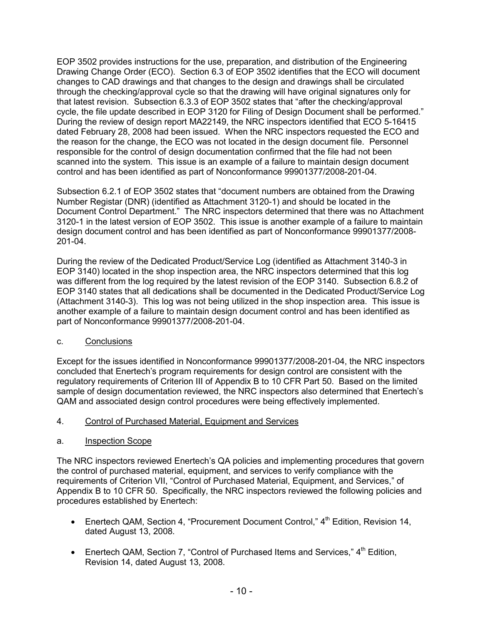EOP 3502 provides instructions for the use, preparation, and distribution of the Engineering Drawing Change Order (ECO). Section 6.3 of EOP 3502 identifies that the ECO will document changes to CAD drawings and that changes to the design and drawings shall be circulated through the checking/approval cycle so that the drawing will have original signatures only for that latest revision. Subsection 6.3.3 of EOP 3502 states that "after the checking/approval cycle, the file update described in EOP 3120 for Filing of Design Document shall be performed." During the review of design report MA22149, the NRC inspectors identified that ECO 5-16415 dated February 28, 2008 had been issued. When the NRC inspectors requested the ECO and the reason for the change, the ECO was not located in the design document file. Personnel responsible for the control of design documentation confirmed that the file had not been scanned into the system. This issue is an example of a failure to maintain design document control and has been identified as part of Nonconformance 99901377/2008-201-04.

Subsection 6.2.1 of EOP 3502 states that "document numbers are obtained from the Drawing Number Registar (DNR) (identified as Attachment 3120-1) and should be located in the Document Control Department." The NRC inspectors determined that there was no Attachment 3120-1 in the latest version of EOP 3502. This issue is another example of a failure to maintain design document control and has been identified as part of Nonconformance 99901377/2008- 201-04.

During the review of the Dedicated Product/Service Log (identified as Attachment 3140-3 in EOP 3140) located in the shop inspection area, the NRC inspectors determined that this log was different from the log required by the latest revision of the EOP 3140. Subsection 6.8.2 of EOP 3140 states that all dedications shall be documented in the Dedicated Product/Service Log (Attachment 3140-3). This log was not being utilized in the shop inspection area. This issue is another example of a failure to maintain design document control and has been identified as part of Nonconformance 99901377/2008-201-04.

# c. Conclusions

Except for the issues identified in Nonconformance 99901377/2008-201-04, the NRC inspectors concluded that Enertech's program requirements for design control are consistent with the regulatory requirements of Criterion III of Appendix B to 10 CFR Part 50. Based on the limited sample of design documentation reviewed, the NRC inspectors also determined that Enertech's QAM and associated design control procedures were being effectively implemented.

- 4. Control of Purchased Material, Equipment and Services
- a. Inspection Scope

The NRC inspectors reviewed Enertech's QA policies and implementing procedures that govern the control of purchased material, equipment, and services to verify compliance with the requirements of Criterion VII, "Control of Purchased Material, Equipment, and Services," of Appendix B to 10 CFR 50. Specifically, the NRC inspectors reviewed the following policies and procedures established by Enertech:

- Enertech QAM, Section 4, "Procurement Document Control,"  $4<sup>th</sup>$  Edition, Revision 14, dated August 13, 2008.
- Enertech QAM, Section 7, "Control of Purchased Items and Services,"  $4<sup>th</sup>$  Edition, Revision 14, dated August 13, 2008.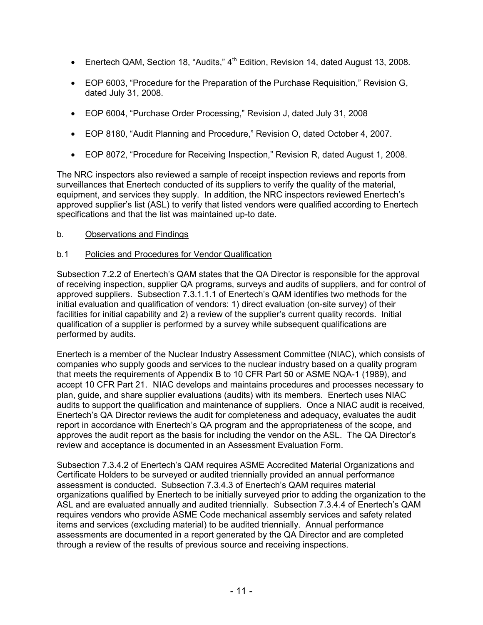- Enertech QAM, Section 18, "Audits," 4<sup>th</sup> Edition, Revision 14, dated August 13, 2008.
- EOP 6003, "Procedure for the Preparation of the Purchase Requisition," Revision G, dated July 31, 2008.
- EOP 6004, "Purchase Order Processing," Revision J, dated July 31, 2008
- EOP 8180, "Audit Planning and Procedure," Revision O, dated October 4, 2007.
- EOP 8072, "Procedure for Receiving Inspection," Revision R, dated August 1, 2008.

The NRC inspectors also reviewed a sample of receipt inspection reviews and reports from surveillances that Enertech conducted of its suppliers to verify the quality of the material, equipment, and services they supply. In addition, the NRC inspectors reviewed Enertech's approved supplier's list (ASL) to verify that listed vendors were qualified according to Enertech specifications and that the list was maintained up-to date.

# b. Observations and Findings

# b.1 Policies and Procedures for Vendor Qualification

Subsection 7.2.2 of Enertech's QAM states that the QA Director is responsible for the approval of receiving inspection, supplier QA programs, surveys and audits of suppliers, and for control of approved suppliers. Subsection 7.3.1.1.1 of Enertech's QAM identifies two methods for the initial evaluation and qualification of vendors: 1) direct evaluation (on-site survey) of their facilities for initial capability and 2) a review of the supplier's current quality records. Initial qualification of a supplier is performed by a survey while subsequent qualifications are performed by audits.

Enertech is a member of the Nuclear Industry Assessment Committee (NIAC), which consists of companies who supply goods and services to the nuclear industry based on a quality program that meets the requirements of Appendix B to 10 CFR Part 50 or ASME NQA-1 (1989), and accept 10 CFR Part 21. NIAC develops and maintains procedures and processes necessary to plan, guide, and share supplier evaluations (audits) with its members. Enertech uses NIAC audits to support the qualification and maintenance of suppliers. Once a NIAC audit is received, Enertech's QA Director reviews the audit for completeness and adequacy, evaluates the audit report in accordance with Enertech's QA program and the appropriateness of the scope, and approves the audit report as the basis for including the vendor on the ASL. The QA Director's review and acceptance is documented in an Assessment Evaluation Form.

Subsection 7.3.4.2 of Enertech's QAM requires ASME Accredited Material Organizations and Certificate Holders to be surveyed or audited triennially provided an annual performance assessment is conducted. Subsection 7.3.4.3 of Enertech's QAM requires material organizations qualified by Enertech to be initially surveyed prior to adding the organization to the ASL and are evaluated annually and audited triennially. Subsection 7.3.4.4 of Enertech's QAM requires vendors who provide ASME Code mechanical assembly services and safety related items and services (excluding material) to be audited triennially. Annual performance assessments are documented in a report generated by the QA Director and are completed through a review of the results of previous source and receiving inspections.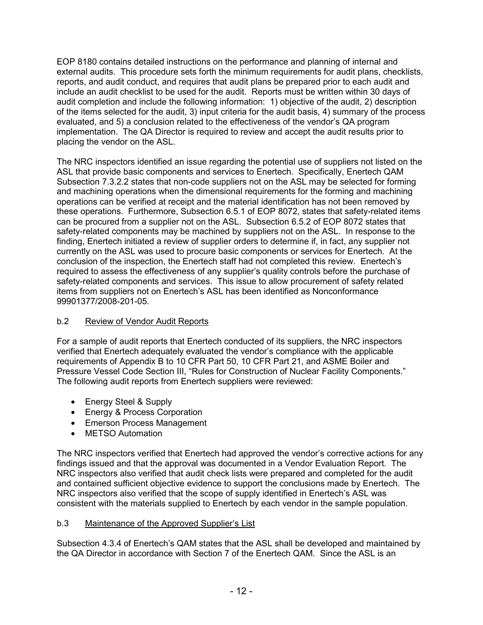EOP 8180 contains detailed instructions on the performance and planning of internal and external audits. This procedure sets forth the minimum requirements for audit plans, checklists, reports, and audit conduct, and requires that audit plans be prepared prior to each audit and include an audit checklist to be used for the audit. Reports must be written within 30 days of audit completion and include the following information: 1) objective of the audit, 2) description of the items selected for the audit, 3) input criteria for the audit basis, 4) summary of the process evaluated, and 5) a conclusion related to the effectiveness of the vendor's QA program implementation. The QA Director is required to review and accept the audit results prior to placing the vendor on the ASL.

The NRC inspectors identified an issue regarding the potential use of suppliers not listed on the ASL that provide basic components and services to Enertech. Specifically, Enertech QAM Subsection 7.3.2.2 states that non-code suppliers not on the ASL may be selected for forming and machining operations when the dimensional requirements for the forming and machining operations can be verified at receipt and the material identification has not been removed by these operations. Furthermore, Subsection 6.5.1 of EOP 8072, states that safety-related items can be procured from a supplier not on the ASL. Subsection 6.5.2 of EOP 8072 states that safety-related components may be machined by suppliers not on the ASL. In response to the finding, Enertech initiated a review of supplier orders to determine if, in fact, any supplier not currently on the ASL was used to procure basic components or services for Enertech. At the conclusion of the inspection, the Enertech staff had not completed this review. Enertech's required to assess the effectiveness of any supplier's quality controls before the purchase of safety-related components and services. This issue to allow procurement of safety related items from suppliers not on Enertech's ASL has been identified as Nonconformance 99901377/2008-201-05.

# b.2 Review of Vendor Audit Reports

For a sample of audit reports that Enertech conducted of its suppliers, the NRC inspectors verified that Enertech adequately evaluated the vendor's compliance with the applicable requirements of Appendix B to 10 CFR Part 50, 10 CFR Part 21, and ASME Boiler and Pressure Vessel Code Section III, "Rules for Construction of Nuclear Facility Components." The following audit reports from Enertech suppliers were reviewed:

- Energy Steel & Supply
- Energy & Process Corporation
- Emerson Process Management
- METSO Automation

The NRC inspectors verified that Enertech had approved the vendor's corrective actions for any findings issued and that the approval was documented in a Vendor Evaluation Report. The NRC inspectors also verified that audit check lists were prepared and completed for the audit and contained sufficient objective evidence to support the conclusions made by Enertech. The NRC inspectors also verified that the scope of supply identified in Enertech's ASL was consistent with the materials supplied to Enertech by each vendor in the sample population.

# b.3 Maintenance of the Approved Supplier's List

Subsection 4.3.4 of Enertech's QAM states that the ASL shall be developed and maintained by the QA Director in accordance with Section 7 of the Enertech QAM. Since the ASL is an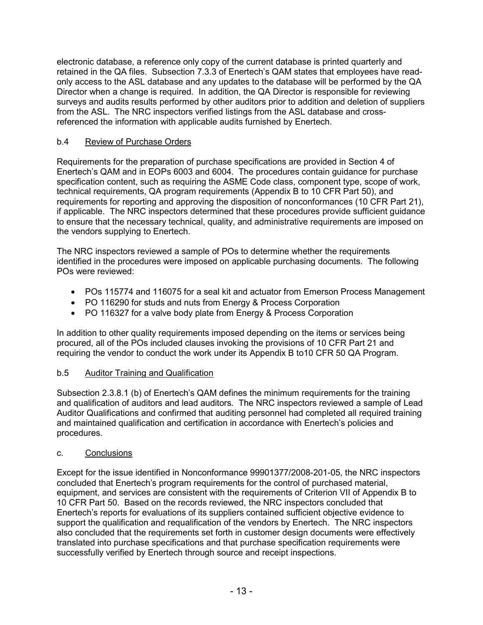electronic database, a reference only copy of the current database is printed quarterly and retained in the QA files. Subsection 7.3.3 of Enertech's QAM states that employees have readonly access to the ASL database and any updates to the database will be performed by the QA Director when a change is required. In addition, the QA Director is responsible for reviewing surveys and audits results performed by other auditors prior to addition and deletion of suppliers from the ASL. The NRC inspectors verified listings from the ASL database and crossreferenced the information with applicable audits furnished by Enertech.

# b.4 Review of Purchase Orders

Requirements for the preparation of purchase specifications are provided in Section 4 of Enertech's QAM and in EOPs 6003 and 6004. The procedures contain guidance for purchase specification content, such as requiring the ASME Code class, component type, scope of work, technical requirements, QA program requirements (Appendix B to 10 CFR Part 50), and requirements for reporting and approving the disposition of nonconformances (10 CFR Part 21), if applicable. The NRC inspectors determined that these procedures provide sufficient guidance to ensure that the necessary technical, quality, and administrative requirements are imposed on the vendors supplying to Enertech.

The NRC inspectors reviewed a sample of POs to determine whether the requirements identified in the procedures were imposed on applicable purchasing documents. The following POs were reviewed:

- POs 115774 and 116075 for a seal kit and actuator from Emerson Process Management
- PO 116290 for studs and nuts from Energy & Process Corporation
- PO 116327 for a valve body plate from Energy & Process Corporation

In addition to other quality requirements imposed depending on the items or services being procured, all of the POs included clauses invoking the provisions of 10 CFR Part 21 and requiring the vendor to conduct the work under its Appendix B to10 CFR 50 QA Program.

# b.5 Auditor Training and Qualification

Subsection 2.3.8.1 (b) of Enertech's QAM defines the minimum requirements for the training and qualification of auditors and lead auditors. The NRC inspectors reviewed a sample of Lead Auditor Qualifications and confirmed that auditing personnel had completed all required training and maintained qualification and certification in accordance with Enertech's policies and procedures.

# c. Conclusions

Except for the issue identified in Nonconformance 99901377/2008-201-05, the NRC inspectors concluded that Enertech's program requirements for the control of purchased material, equipment, and services are consistent with the requirements of Criterion VII of Appendix B to 10 CFR Part 50. Based on the records reviewed, the NRC inspectors concluded that Enertech's reports for evaluations of its suppliers contained sufficient objective evidence to support the qualification and requalification of the vendors by Enertech. The NRC inspectors also concluded that the requirements set forth in customer design documents were effectively translated into purchase specifications and that purchase specification requirements were successfully verified by Enertech through source and receipt inspections.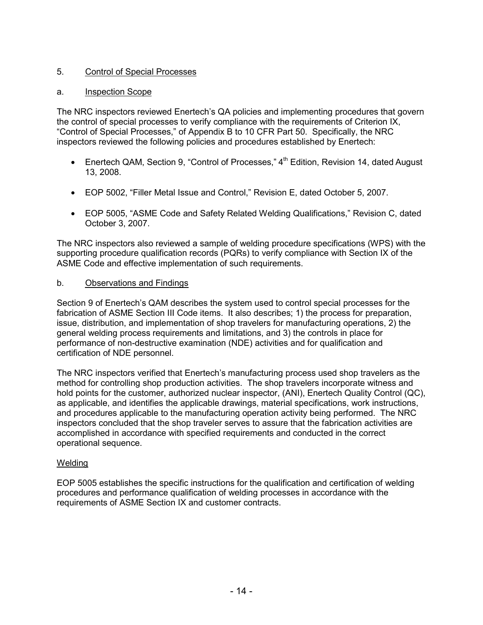# 5. Control of Special Processes

# a. Inspection Scope

The NRC inspectors reviewed Enertech's QA policies and implementing procedures that govern the control of special processes to verify compliance with the requirements of Criterion IX, "Control of Special Processes," of Appendix B to 10 CFR Part 50. Specifically, the NRC inspectors reviewed the following policies and procedures established by Enertech:

- Enertech QAM, Section 9, "Control of Processes," 4<sup>th</sup> Edition, Revision 14, dated August 13, 2008.
- EOP 5002, "Filler Metal Issue and Control," Revision E, dated October 5, 2007.
- EOP 5005, "ASME Code and Safety Related Welding Qualifications," Revision C, dated October 3, 2007.

The NRC inspectors also reviewed a sample of welding procedure specifications (WPS) with the supporting procedure qualification records (PQRs) to verify compliance with Section IX of the ASME Code and effective implementation of such requirements.

# b. Observations and Findings

Section 9 of Enertech's QAM describes the system used to control special processes for the fabrication of ASME Section III Code items. It also describes; 1) the process for preparation, issue, distribution, and implementation of shop travelers for manufacturing operations, 2) the general welding process requirements and limitations, and 3) the controls in place for performance of non-destructive examination (NDE) activities and for qualification and certification of NDE personnel.

The NRC inspectors verified that Enertech's manufacturing process used shop travelers as the method for controlling shop production activities. The shop travelers incorporate witness and hold points for the customer, authorized nuclear inspector, (ANI), Enertech Quality Control (QC), as applicable, and identifies the applicable drawings, material specifications, work instructions, and procedures applicable to the manufacturing operation activity being performed. The NRC inspectors concluded that the shop traveler serves to assure that the fabrication activities are accomplished in accordance with specified requirements and conducted in the correct operational sequence.

### Welding

EOP 5005 establishes the specific instructions for the qualification and certification of welding procedures and performance qualification of welding processes in accordance with the requirements of ASME Section IX and customer contracts.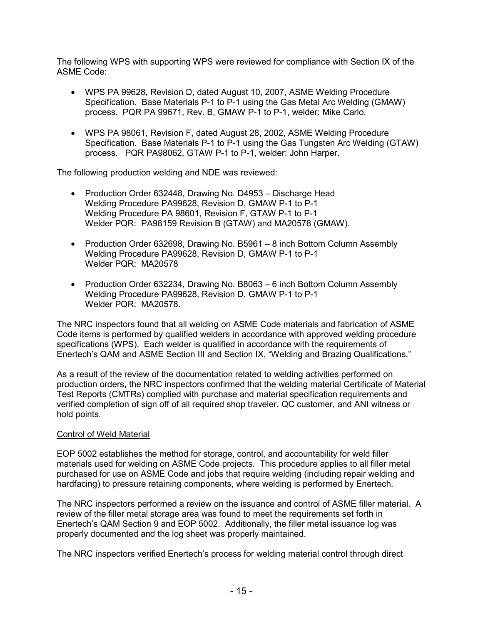The following WPS with supporting WPS were reviewed for compliance with Section IX of the ASME Code:

- WPS PA 99628, Revision D, dated August 10, 2007, ASME Welding Procedure Specification. Base Materials P-1 to P-1 using the Gas Metal Arc Welding (GMAW) process. PQR PA 99671, Rev. B, GMAW P-1 to P-1, welder: Mike Carlo.
- WPS PA 98061, Revision F, dated August 28, 2002, ASME Welding Procedure Specification. Base Materials P-1 to P-1 using the Gas Tungsten Arc Welding (GTAW) process. PQR PA98062, GTAW P-1 to P-1, welder: John Harper.

The following production welding and NDE was reviewed:

- Production Order 632448, Drawing No. D4953 Discharge Head Welding Procedure PA99628, Revision D, GMAW P-1 to P-1 Welding Procedure PA 98601, Revision F, GTAW P-1 to P-1 Welder PQR: PA98159 Revision B (GTAW) and MA20578 (GMAW).
- Production Order 632698, Drawing No. B5961 8 inch Bottom Column Assembly Welding Procedure PA99628, Revision D, GMAW P-1 to P-1 Welder PQR: MA20578
- Production Order 632234, Drawing No. B8063 6 inch Bottom Column Assembly Welding Procedure PA99628, Revision D, GMAW P-1 to P-1 Welder PQR: MA20578.

The NRC inspectors found that all welding on ASME Code materials and fabrication of ASME Code items is performed by qualified welders in accordance with approved welding procedure specifications (WPS). Each welder is qualified in accordance with the requirements of Enertech's QAM and ASME Section III and Section IX, "Welding and Brazing Qualifications."

As a result of the review of the documentation related to welding activities performed on production orders, the NRC inspectors confirmed that the welding material Certificate of Material Test Reports (CMTRs) complied with purchase and material specification requirements and verified completion of sign off of all required shop traveler, QC customer, and ANI witness or hold points.

### Control of Weld Material

EOP 5002 establishes the method for storage, control, and accountability for weld filler materials used for welding on ASME Code projects. This procedure applies to all filler metal purchased for use on ASME Code and jobs that require welding (including repair welding and hardfacing) to pressure retaining components, where welding is performed by Enertech.

The NRC inspectors performed a review on the issuance and control of ASME filler material. A review of the filler metal storage area was found to meet the requirements set forth in Enertech's QAM Section 9 and EOP 5002. Additionally, the filler metal issuance log was properly documented and the log sheet was properly maintained.

The NRC inspectors verified Enertech's process for welding material control through direct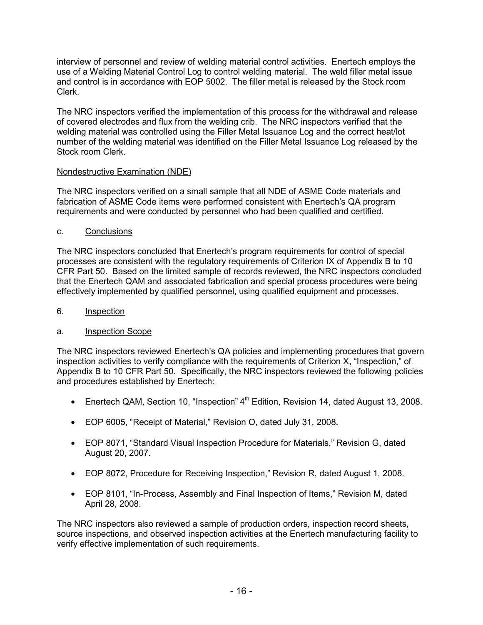interview of personnel and review of welding material control activities. Enertech employs the use of a Welding Material Control Log to control welding material. The weld filler metal issue and control is in accordance with EOP 5002. The filler metal is released by the Stock room Clerk.

The NRC inspectors verified the implementation of this process for the withdrawal and release of covered electrodes and flux from the welding crib. The NRC inspectors verified that the welding material was controlled using the Filler Metal Issuance Log and the correct heat/lot number of the welding material was identified on the Filler Metal Issuance Log released by the Stock room Clerk.

# Nondestructive Examination (NDE)

The NRC inspectors verified on a small sample that all NDE of ASME Code materials and fabrication of ASME Code items were performed consistent with Enertech's QA program requirements and were conducted by personnel who had been qualified and certified.

# c. Conclusions

The NRC inspectors concluded that Enertech's program requirements for control of special processes are consistent with the regulatory requirements of Criterion IX of Appendix B to 10 CFR Part 50. Based on the limited sample of records reviewed, the NRC inspectors concluded that the Enertech QAM and associated fabrication and special process procedures were being effectively implemented by qualified personnel, using qualified equipment and processes.

# 6. Inspection

# a. Inspection Scope

The NRC inspectors reviewed Enertech's QA policies and implementing procedures that govern inspection activities to verify compliance with the requirements of Criterion X, "Inspection," of Appendix B to 10 CFR Part 50. Specifically, the NRC inspectors reviewed the following policies and procedures established by Enertech:

- Enertech QAM, Section 10, "Inspection"  $4<sup>th</sup>$  Edition, Revision 14, dated August 13, 2008.
- EOP 6005, "Receipt of Material," Revision O, dated July 31, 2008.
- EOP 8071, "Standard Visual Inspection Procedure for Materials," Revision G, dated August 20, 2007.
- EOP 8072, Procedure for Receiving Inspection," Revision R, dated August 1, 2008.
- EOP 8101, "In-Process, Assembly and Final Inspection of Items," Revision M, dated April 28, 2008.

The NRC inspectors also reviewed a sample of production orders, inspection record sheets, source inspections, and observed inspection activities at the Enertech manufacturing facility to verify effective implementation of such requirements.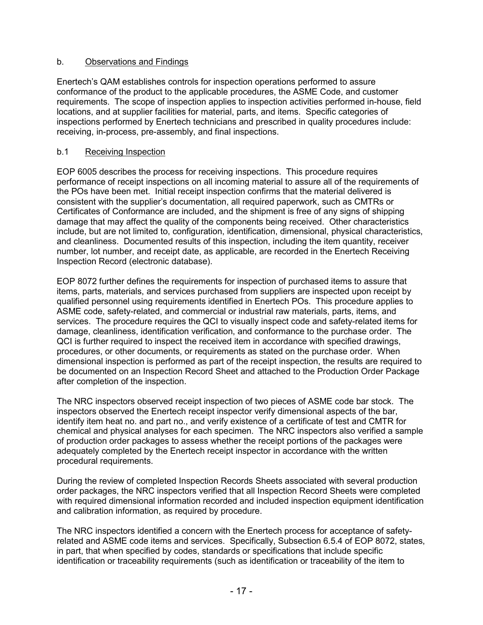# b. Observations and Findings

Enertech's QAM establishes controls for inspection operations performed to assure conformance of the product to the applicable procedures, the ASME Code, and customer requirements. The scope of inspection applies to inspection activities performed in-house, field locations, and at supplier facilities for material, parts, and items. Specific categories of inspections performed by Enertech technicians and prescribed in quality procedures include: receiving, in-process, pre-assembly, and final inspections.

# b.1 Receiving Inspection

EOP 6005 describes the process for receiving inspections. This procedure requires performance of receipt inspections on all incoming material to assure all of the requirements of the POs have been met. Initial receipt inspection confirms that the material delivered is consistent with the supplier's documentation, all required paperwork, such as CMTRs or Certificates of Conformance are included, and the shipment is free of any signs of shipping damage that may affect the quality of the components being received. Other characteristics include, but are not limited to, configuration, identification, dimensional, physical characteristics, and cleanliness. Documented results of this inspection, including the item quantity, receiver number, lot number, and receipt date, as applicable, are recorded in the Enertech Receiving Inspection Record (electronic database).

EOP 8072 further defines the requirements for inspection of purchased items to assure that items, parts, materials, and services purchased from suppliers are inspected upon receipt by qualified personnel using requirements identified in Enertech POs. This procedure applies to ASME code, safety-related, and commercial or industrial raw materials, parts, items, and services. The procedure requires the QCI to visually inspect code and safety-related items for damage, cleanliness, identification verification, and conformance to the purchase order. The QCI is further required to inspect the received item in accordance with specified drawings, procedures, or other documents, or requirements as stated on the purchase order. When dimensional inspection is performed as part of the receipt inspection, the results are required to be documented on an Inspection Record Sheet and attached to the Production Order Package after completion of the inspection.

The NRC inspectors observed receipt inspection of two pieces of ASME code bar stock. The inspectors observed the Enertech receipt inspector verify dimensional aspects of the bar, identify item heat no. and part no., and verify existence of a certificate of test and CMTR for chemical and physical analyses for each specimen. The NRC inspectors also verified a sample of production order packages to assess whether the receipt portions of the packages were adequately completed by the Enertech receipt inspector in accordance with the written procedural requirements.

During the review of completed Inspection Records Sheets associated with several production order packages, the NRC inspectors verified that all Inspection Record Sheets were completed with required dimensional information recorded and included inspection equipment identification and calibration information, as required by procedure.

The NRC inspectors identified a concern with the Enertech process for acceptance of safetyrelated and ASME code items and services. Specifically, Subsection 6.5.4 of EOP 8072, states, in part, that when specified by codes, standards or specifications that include specific identification or traceability requirements (such as identification or traceability of the item to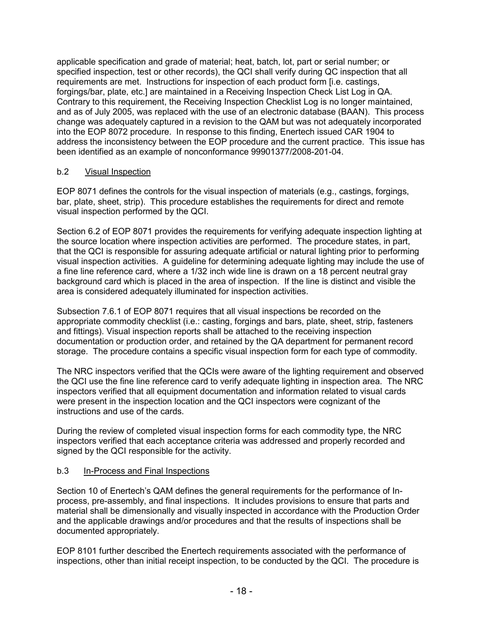applicable specification and grade of material; heat, batch, lot, part or serial number; or specified inspection, test or other records), the QCI shall verify during QC inspection that all requirements are met. Instructions for inspection of each product form [i.e. castings, forgings/bar, plate, etc.] are maintained in a Receiving Inspection Check List Log in QA. Contrary to this requirement, the Receiving Inspection Checklist Log is no longer maintained, and as of July 2005, was replaced with the use of an electronic database (BAAN). This process change was adequately captured in a revision to the QAM but was not adequately incorporated into the EOP 8072 procedure. In response to this finding, Enertech issued CAR 1904 to address the inconsistency between the EOP procedure and the current practice. This issue has been identified as an example of nonconformance 99901377/2008-201-04.

# b.2 Visual Inspection

EOP 8071 defines the controls for the visual inspection of materials (e.g., castings, forgings, bar, plate, sheet, strip). This procedure establishes the requirements for direct and remote visual inspection performed by the QCI.

Section 6.2 of EOP 8071 provides the requirements for verifying adequate inspection lighting at the source location where inspection activities are performed. The procedure states, in part, that the QCI is responsible for assuring adequate artificial or natural lighting prior to performing visual inspection activities. A guideline for determining adequate lighting may include the use of a fine line reference card, where a 1/32 inch wide line is drawn on a 18 percent neutral gray background card which is placed in the area of inspection. If the line is distinct and visible the area is considered adequately illuminated for inspection activities.

Subsection 7.6.1 of EOP 8071 requires that all visual inspections be recorded on the appropriate commodity checklist (i.e.: casting, forgings and bars, plate, sheet, strip, fasteners and fittings). Visual inspection reports shall be attached to the receiving inspection documentation or production order, and retained by the QA department for permanent record storage. The procedure contains a specific visual inspection form for each type of commodity.

The NRC inspectors verified that the QCIs were aware of the lighting requirement and observed the QCI use the fine line reference card to verify adequate lighting in inspection area. The NRC inspectors verified that all equipment documentation and information related to visual cards were present in the inspection location and the QCI inspectors were cognizant of the instructions and use of the cards.

During the review of completed visual inspection forms for each commodity type, the NRC inspectors verified that each acceptance criteria was addressed and properly recorded and signed by the QCI responsible for the activity.

### b.3 In-Process and Final Inspections

Section 10 of Enertech's QAM defines the general requirements for the performance of Inprocess, pre-assembly, and final inspections. It includes provisions to ensure that parts and material shall be dimensionally and visually inspected in accordance with the Production Order and the applicable drawings and/or procedures and that the results of inspections shall be documented appropriately.

EOP 8101 further described the Enertech requirements associated with the performance of inspections, other than initial receipt inspection, to be conducted by the QCI. The procedure is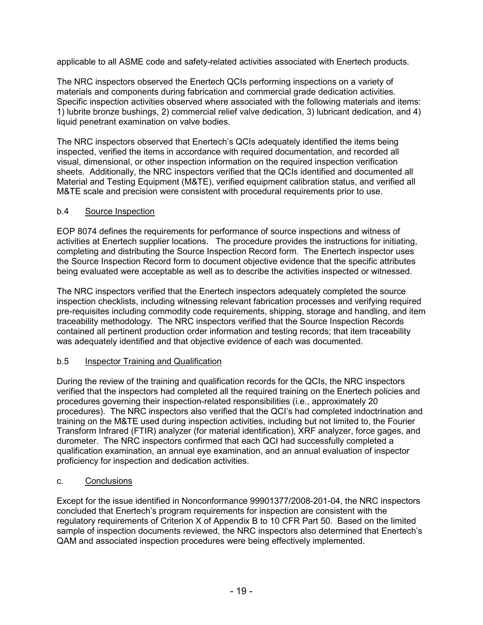applicable to all ASME code and safety-related activities associated with Enertech products.

The NRC inspectors observed the Enertech QCIs performing inspections on a variety of materials and components during fabrication and commercial grade dedication activities. Specific inspection activities observed where associated with the following materials and items: 1) lubrite bronze bushings, 2) commercial relief valve dedication, 3) lubricant dedication, and 4) liquid penetrant examination on valve bodies.

The NRC inspectors observed that Enertech's QCIs adequately identified the items being inspected, verified the items in accordance with required documentation, and recorded all visual, dimensional, or other inspection information on the required inspection verification sheets. Additionally, the NRC inspectors verified that the QCIs identified and documented all Material and Testing Equipment (M&TE), verified equipment calibration status, and verified all M&TE scale and precision were consistent with procedural requirements prior to use.

# b.4 Source Inspection

EOP 8074 defines the requirements for performance of source inspections and witness of activities at Enertech supplier locations. The procedure provides the instructions for initiating, completing and distributing the Source Inspection Record form. The Enertech inspector uses the Source Inspection Record form to document objective evidence that the specific attributes being evaluated were acceptable as well as to describe the activities inspected or witnessed.

The NRC inspectors verified that the Enertech inspectors adequately completed the source inspection checklists, including witnessing relevant fabrication processes and verifying required pre-requisites including commodity code requirements, shipping, storage and handling, and item traceability methodology. The NRC inspectors verified that the Source Inspection Records contained all pertinent production order information and testing records; that item traceability was adequately identified and that objective evidence of each was documented.

# b.5 Inspector Training and Qualification

During the review of the training and qualification records for the QCIs, the NRC inspectors verified that the inspectors had completed all the required training on the Enertech policies and procedures governing their inspection-related responsibilities (i.e., approximately 20 procedures). The NRC inspectors also verified that the QCI's had completed indoctrination and training on the M&TE used during inspection activities, including but not limited to, the Fourier Transform Infrared (FTIR) analyzer (for material identification), XRF analyzer, force gages, and durometer. The NRC inspectors confirmed that each QCI had successfully completed a qualification examination, an annual eye examination, and an annual evaluation of inspector proficiency for inspection and dedication activities.

# c. Conclusions

Except for the issue identified in Nonconformance 99901377/2008-201-04, the NRC inspectors concluded that Enertech's program requirements for inspection are consistent with the regulatory requirements of Criterion X of Appendix B to 10 CFR Part 50. Based on the limited sample of inspection documents reviewed, the NRC inspectors also determined that Enertech's QAM and associated inspection procedures were being effectively implemented.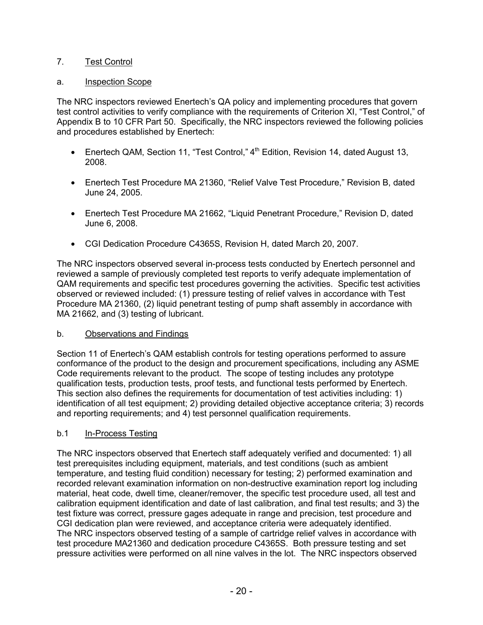# 7. Test Control

# a. Inspection Scope

The NRC inspectors reviewed Enertech's QA policy and implementing procedures that govern test control activities to verify compliance with the requirements of Criterion XI, "Test Control," of Appendix B to 10 CFR Part 50. Specifically, the NRC inspectors reviewed the following policies and procedures established by Enertech:

- Enertech QAM, Section 11, "Test Control,"  $4<sup>th</sup>$  Edition, Revision 14, dated August 13, 2008.
- Enertech Test Procedure MA 21360, "Relief Valve Test Procedure," Revision B, dated June 24, 2005.
- Enertech Test Procedure MA 21662, "Liquid Penetrant Procedure," Revision D, dated June 6, 2008.
- CGI Dedication Procedure C4365S, Revision H, dated March 20, 2007.

The NRC inspectors observed several in-process tests conducted by Enertech personnel and reviewed a sample of previously completed test reports to verify adequate implementation of QAM requirements and specific test procedures governing the activities. Specific test activities observed or reviewed included: (1) pressure testing of relief valves in accordance with Test Procedure MA 21360, (2) liquid penetrant testing of pump shaft assembly in accordance with MA 21662, and (3) testing of lubricant.

# b. Observations and Findings

Section 11 of Enertech's QAM establish controls for testing operations performed to assure conformance of the product to the design and procurement specifications, including any ASME Code requirements relevant to the product. The scope of testing includes any prototype qualification tests, production tests, proof tests, and functional tests performed by Enertech. This section also defines the requirements for documentation of test activities including: 1) identification of all test equipment; 2) providing detailed objective acceptance criteria; 3) records and reporting requirements; and 4) test personnel qualification requirements.

# b.1 In-Process Testing

The NRC inspectors observed that Enertech staff adequately verified and documented: 1) all test prerequisites including equipment, materials, and test conditions (such as ambient temperature, and testing fluid condition) necessary for testing; 2) performed examination and recorded relevant examination information on non-destructive examination report log including material, heat code, dwell time, cleaner/remover, the specific test procedure used, all test and calibration equipment identification and date of last calibration, and final test results; and 3) the test fixture was correct, pressure gages adequate in range and precision, test procedure and CGI dedication plan were reviewed, and acceptance criteria were adequately identified. The NRC inspectors observed testing of a sample of cartridge relief valves in accordance with test procedure MA21360 and dedication procedure C4365S. Both pressure testing and set pressure activities were performed on all nine valves in the lot. The NRC inspectors observed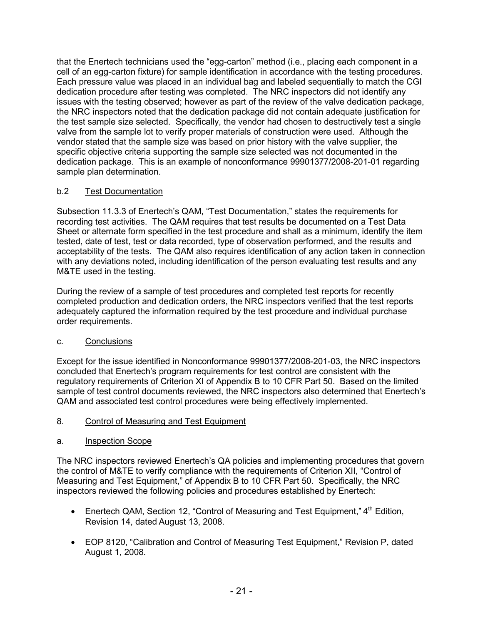that the Enertech technicians used the "egg-carton" method (i.e., placing each component in a cell of an egg-carton fixture) for sample identification in accordance with the testing procedures. Each pressure value was placed in an individual bag and labeled sequentially to match the CGI dedication procedure after testing was completed. The NRC inspectors did not identify any issues with the testing observed; however as part of the review of the valve dedication package, the NRC inspectors noted that the dedication package did not contain adequate justification for the test sample size selected. Specifically, the vendor had chosen to destructively test a single valve from the sample lot to verify proper materials of construction were used. Although the vendor stated that the sample size was based on prior history with the valve supplier, the specific objective criteria supporting the sample size selected was not documented in the dedication package. This is an example of nonconformance 99901377/2008-201-01 regarding sample plan determination.

# b.2 Test Documentation

Subsection 11.3.3 of Enertech's QAM, "Test Documentation," states the requirements for recording test activities. The QAM requires that test results be documented on a Test Data Sheet or alternate form specified in the test procedure and shall as a minimum, identify the item tested, date of test, test or data recorded, type of observation performed, and the results and acceptability of the tests. The QAM also requires identification of any action taken in connection with any deviations noted, including identification of the person evaluating test results and any M&TE used in the testing.

During the review of a sample of test procedures and completed test reports for recently completed production and dedication orders, the NRC inspectors verified that the test reports adequately captured the information required by the test procedure and individual purchase order requirements.

# c. Conclusions

Except for the issue identified in Nonconformance 99901377/2008-201-03, the NRC inspectors concluded that Enertech's program requirements for test control are consistent with the regulatory requirements of Criterion XI of Appendix B to 10 CFR Part 50. Based on the limited sample of test control documents reviewed, the NRC inspectors also determined that Enertech's QAM and associated test control procedures were being effectively implemented.

- 8. Control of Measuring and Test Equipment
- a. Inspection Scope

The NRC inspectors reviewed Enertech's QA policies and implementing procedures that govern the control of M&TE to verify compliance with the requirements of Criterion XII, "Control of Measuring and Test Equipment," of Appendix B to 10 CFR Part 50. Specifically, the NRC inspectors reviewed the following policies and procedures established by Enertech:

- Enertech QAM, Section 12, "Control of Measuring and Test Equipment,"  $4<sup>th</sup>$  Edition, Revision 14, dated August 13, 2008.
- EOP 8120, "Calibration and Control of Measuring Test Equipment," Revision P, dated August 1, 2008.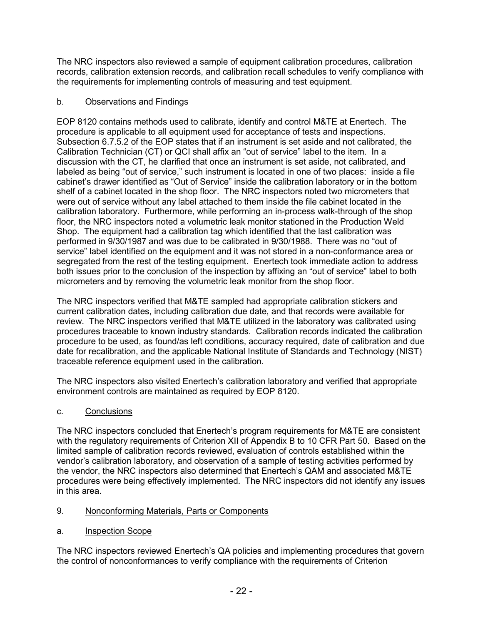The NRC inspectors also reviewed a sample of equipment calibration procedures, calibration records, calibration extension records, and calibration recall schedules to verify compliance with the requirements for implementing controls of measuring and test equipment.

# b. Observations and Findings

EOP 8120 contains methods used to calibrate, identify and control M&TE at Enertech. The procedure is applicable to all equipment used for acceptance of tests and inspections. Subsection 6.7.5.2 of the EOP states that if an instrument is set aside and not calibrated, the Calibration Technician (CT) or QCI shall affix an "out of service" label to the item. In a discussion with the CT, he clarified that once an instrument is set aside, not calibrated, and labeled as being "out of service," such instrument is located in one of two places: inside a file cabinet's drawer identified as "Out of Service" inside the calibration laboratory or in the bottom shelf of a cabinet located in the shop floor. The NRC inspectors noted two micrometers that were out of service without any label attached to them inside the file cabinet located in the calibration laboratory. Furthermore, while performing an in-process walk-through of the shop floor, the NRC inspectors noted a volumetric leak monitor stationed in the Production Weld Shop. The equipment had a calibration tag which identified that the last calibration was performed in 9/30/1987 and was due to be calibrated in 9/30/1988. There was no "out of service" label identified on the equipment and it was not stored in a non-conformance area or segregated from the rest of the testing equipment. Enertech took immediate action to address both issues prior to the conclusion of the inspection by affixing an "out of service" label to both micrometers and by removing the volumetric leak monitor from the shop floor.

The NRC inspectors verified that M&TE sampled had appropriate calibration stickers and current calibration dates, including calibration due date, and that records were available for review. The NRC inspectors verified that M&TE utilized in the laboratory was calibrated using procedures traceable to known industry standards. Calibration records indicated the calibration procedure to be used, as found/as left conditions, accuracy required, date of calibration and due date for recalibration, and the applicable National Institute of Standards and Technology (NIST) traceable reference equipment used in the calibration.

The NRC inspectors also visited Enertech's calibration laboratory and verified that appropriate environment controls are maintained as required by EOP 8120.

c. Conclusions

The NRC inspectors concluded that Enertech's program requirements for M&TE are consistent with the regulatory requirements of Criterion XII of Appendix B to 10 CFR Part 50. Based on the limited sample of calibration records reviewed, evaluation of controls established within the vendor's calibration laboratory, and observation of a sample of testing activities performed by the vendor, the NRC inspectors also determined that Enertech's QAM and associated M&TE procedures were being effectively implemented. The NRC inspectors did not identify any issues in this area.

- 9. Nonconforming Materials, Parts or Components
- a. Inspection Scope

The NRC inspectors reviewed Enertech's QA policies and implementing procedures that govern the control of nonconformances to verify compliance with the requirements of Criterion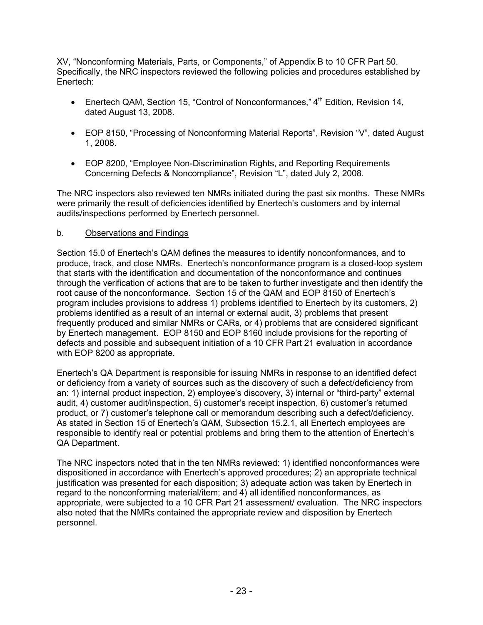XV, "Nonconforming Materials, Parts, or Components," of Appendix B to 10 CFR Part 50. Specifically, the NRC inspectors reviewed the following policies and procedures established by Enertech:

- Enertech QAM, Section 15, "Control of Nonconformances," 4<sup>th</sup> Edition, Revision 14, dated August 13, 2008.
- EOP 8150, "Processing of Nonconforming Material Reports", Revision "V", dated August 1, 2008.
- EOP 8200, "Employee Non-Discrimination Rights, and Reporting Requirements Concerning Defects & Noncompliance", Revision "L", dated July 2, 2008.

The NRC inspectors also reviewed ten NMRs initiated during the past six months. These NMRs were primarily the result of deficiencies identified by Enertech's customers and by internal audits/inspections performed by Enertech personnel.

### b. Observations and Findings

Section 15.0 of Enertech's QAM defines the measures to identify nonconformances, and to produce, track, and close NMRs. Enertech's nonconformance program is a closed-loop system that starts with the identification and documentation of the nonconformance and continues through the verification of actions that are to be taken to further investigate and then identify the root cause of the nonconformance. Section 15 of the QAM and EOP 8150 of Enertech's program includes provisions to address 1) problems identified to Enertech by its customers, 2) problems identified as a result of an internal or external audit, 3) problems that present frequently produced and similar NMRs or CARs, or 4) problems that are considered significant by Enertech management. EOP 8150 and EOP 8160 include provisions for the reporting of defects and possible and subsequent initiation of a 10 CFR Part 21 evaluation in accordance with EOP 8200 as appropriate.

Enertech's QA Department is responsible for issuing NMRs in response to an identified defect or deficiency from a variety of sources such as the discovery of such a defect/deficiency from an: 1) internal product inspection, 2) employee's discovery, 3) internal or "third-party" external audit, 4) customer audit/inspection, 5) customer's receipt inspection, 6) customer's returned product, or 7) customer's telephone call or memorandum describing such a defect/deficiency. As stated in Section 15 of Enertech's QAM, Subsection 15.2.1, all Enertech employees are responsible to identify real or potential problems and bring them to the attention of Enertech's QA Department.

The NRC inspectors noted that in the ten NMRs reviewed: 1) identified nonconformances were dispositioned in accordance with Enertech's approved procedures; 2) an appropriate technical justification was presented for each disposition; 3) adequate action was taken by Enertech in regard to the nonconforming material/item; and 4) all identified nonconformances, as appropriate, were subjected to a 10 CFR Part 21 assessment/ evaluation. The NRC inspectors also noted that the NMRs contained the appropriate review and disposition by Enertech personnel.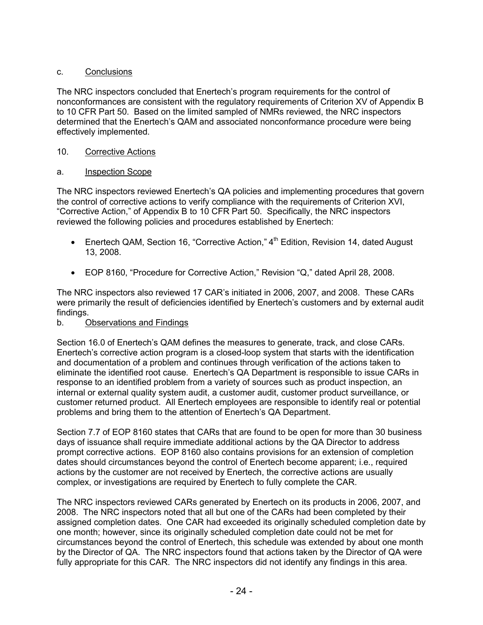# c. Conclusions

The NRC inspectors concluded that Enertech's program requirements for the control of nonconformances are consistent with the regulatory requirements of Criterion XV of Appendix B to 10 CFR Part 50. Based on the limited sampled of NMRs reviewed, the NRC inspectors determined that the Enertech's QAM and associated nonconformance procedure were being effectively implemented.

# 10. Corrective Actions

# a. Inspection Scope

The NRC inspectors reviewed Enertech's QA policies and implementing procedures that govern the control of corrective actions to verify compliance with the requirements of Criterion XVI, "Corrective Action," of Appendix B to 10 CFR Part 50. Specifically, the NRC inspectors reviewed the following policies and procedures established by Enertech:

- Enertech QAM, Section 16, "Corrective Action," 4<sup>th</sup> Edition, Revision 14, dated August 13, 2008.
- EOP 8160, "Procedure for Corrective Action," Revision "Q," dated April 28, 2008.

The NRC inspectors also reviewed 17 CAR's initiated in 2006, 2007, and 2008. These CARs were primarily the result of deficiencies identified by Enertech's customers and by external audit findings.

# b. Observations and Findings

Section 16.0 of Enertech's QAM defines the measures to generate, track, and close CARs. Enertech's corrective action program is a closed-loop system that starts with the identification and documentation of a problem and continues through verification of the actions taken to eliminate the identified root cause. Enertech's QA Department is responsible to issue CARs in response to an identified problem from a variety of sources such as product inspection, an internal or external quality system audit, a customer audit, customer product surveillance, or customer returned product. All Enertech employees are responsible to identify real or potential problems and bring them to the attention of Enertech's QA Department.

Section 7.7 of EOP 8160 states that CARs that are found to be open for more than 30 business days of issuance shall require immediate additional actions by the QA Director to address prompt corrective actions. EOP 8160 also contains provisions for an extension of completion dates should circumstances beyond the control of Enertech become apparent; i.e., required actions by the customer are not received by Enertech, the corrective actions are usually complex, or investigations are required by Enertech to fully complete the CAR.

The NRC inspectors reviewed CARs generated by Enertech on its products in 2006, 2007, and 2008. The NRC inspectors noted that all but one of the CARs had been completed by their assigned completion dates. One CAR had exceeded its originally scheduled completion date by one month; however, since its originally scheduled completion date could not be met for circumstances beyond the control of Enertech, this schedule was extended by about one month by the Director of QA. The NRC inspectors found that actions taken by the Director of QA were fully appropriate for this CAR. The NRC inspectors did not identify any findings in this area.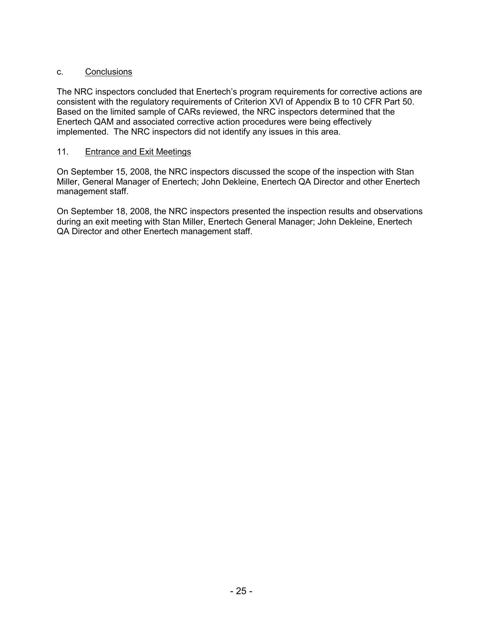# c. Conclusions

The NRC inspectors concluded that Enertech's program requirements for corrective actions are consistent with the regulatory requirements of Criterion XVI of Appendix B to 10 CFR Part 50. Based on the limited sample of CARs reviewed, the NRC inspectors determined that the Enertech QAM and associated corrective action procedures were being effectively implemented. The NRC inspectors did not identify any issues in this area.

### 11. Entrance and Exit Meetings

On September 15, 2008, the NRC inspectors discussed the scope of the inspection with Stan Miller, General Manager of Enertech; John Dekleine, Enertech QA Director and other Enertech management staff.

On September 18, 2008, the NRC inspectors presented the inspection results and observations during an exit meeting with Stan Miller, Enertech General Manager; John Dekleine, Enertech QA Director and other Enertech management staff.